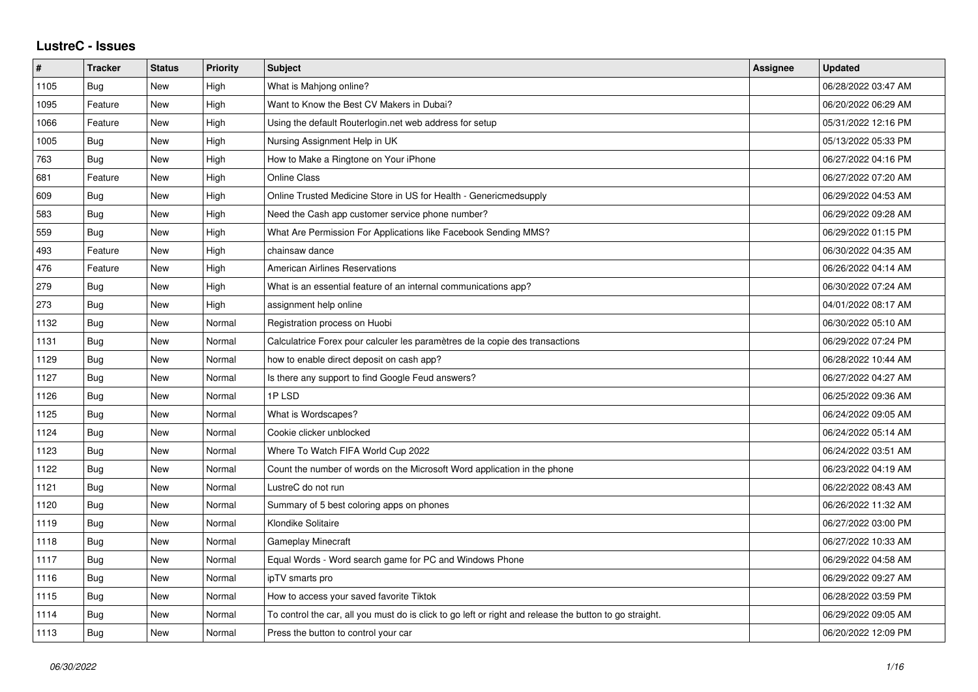## **LustreC - Issues**

| $\pmb{\#}$ | <b>Tracker</b> | <b>Status</b> | <b>Priority</b> | <b>Subject</b>                                                                                          | Assignee | Updated             |
|------------|----------------|---------------|-----------------|---------------------------------------------------------------------------------------------------------|----------|---------------------|
| 1105       | Bug            | <b>New</b>    | High            | What is Mahjong online?                                                                                 |          | 06/28/2022 03:47 AM |
| 1095       | Feature        | <b>New</b>    | High            | Want to Know the Best CV Makers in Dubai?                                                               |          | 06/20/2022 06:29 AM |
| 1066       | Feature        | New           | High            | Using the default Routerlogin.net web address for setup                                                 |          | 05/31/2022 12:16 PM |
| 1005       | <b>Bug</b>     | <b>New</b>    | High            | Nursing Assignment Help in UK                                                                           |          | 05/13/2022 05:33 PM |
| 763        | <b>Bug</b>     | <b>New</b>    | High            | How to Make a Ringtone on Your iPhone                                                                   |          | 06/27/2022 04:16 PM |
| 681        | Feature        | New           | High            | <b>Online Class</b>                                                                                     |          | 06/27/2022 07:20 AM |
| 609        | Bug            | <b>New</b>    | High            | Online Trusted Medicine Store in US for Health - Genericmedsupply                                       |          | 06/29/2022 04:53 AM |
| 583        | <b>Bug</b>     | <b>New</b>    | High            | Need the Cash app customer service phone number?                                                        |          | 06/29/2022 09:28 AM |
| 559        | Bug            | New           | High            | What Are Permission For Applications like Facebook Sending MMS?                                         |          | 06/29/2022 01:15 PM |
| 493        | Feature        | <b>New</b>    | High            | chainsaw dance                                                                                          |          | 06/30/2022 04:35 AM |
| 476        | Feature        | <b>New</b>    | High            | <b>American Airlines Reservations</b>                                                                   |          | 06/26/2022 04:14 AM |
| 279        | <b>Bug</b>     | <b>New</b>    | High            | What is an essential feature of an internal communications app?                                         |          | 06/30/2022 07:24 AM |
| 273        | Bug            | <b>New</b>    | High            | assignment help online                                                                                  |          | 04/01/2022 08:17 AM |
| 1132       | Bug            | <b>New</b>    | Normal          | Registration process on Huobi                                                                           |          | 06/30/2022 05:10 AM |
| 1131       | Bug            | <b>New</b>    | Normal          | Calculatrice Forex pour calculer les paramètres de la copie des transactions                            |          | 06/29/2022 07:24 PM |
| 1129       | Bug            | <b>New</b>    | Normal          | how to enable direct deposit on cash app?                                                               |          | 06/28/2022 10:44 AM |
| 1127       | <b>Bug</b>     | <b>New</b>    | Normal          | Is there any support to find Google Feud answers?                                                       |          | 06/27/2022 04:27 AM |
| 1126       | <b>Bug</b>     | New           | Normal          | 1PLSD                                                                                                   |          | 06/25/2022 09:36 AM |
| 1125       | <b>Bug</b>     | <b>New</b>    | Normal          | What is Wordscapes?                                                                                     |          | 06/24/2022 09:05 AM |
| 1124       | Bug            | <b>New</b>    | Normal          | Cookie clicker unblocked                                                                                |          | 06/24/2022 05:14 AM |
| 1123       | <b>Bug</b>     | New           | Normal          | Where To Watch FIFA World Cup 2022                                                                      |          | 06/24/2022 03:51 AM |
| 1122       | Bug            | <b>New</b>    | Normal          | Count the number of words on the Microsoft Word application in the phone                                |          | 06/23/2022 04:19 AM |
| 1121       | Bug            | <b>New</b>    | Normal          | LustreC do not run                                                                                      |          | 06/22/2022 08:43 AM |
| 1120       | Bug            | <b>New</b>    | Normal          | Summary of 5 best coloring apps on phones                                                               |          | 06/26/2022 11:32 AM |
| 1119       | <b>Bug</b>     | <b>New</b>    | Normal          | Klondike Solitaire                                                                                      |          | 06/27/2022 03:00 PM |
| 1118       | Bug            | <b>New</b>    | Normal          | <b>Gameplay Minecraft</b>                                                                               |          | 06/27/2022 10:33 AM |
| 1117       | Bug            | <b>New</b>    | Normal          | Equal Words - Word search game for PC and Windows Phone                                                 |          | 06/29/2022 04:58 AM |
| 1116       | <b>Bug</b>     | <b>New</b>    | Normal          | ipTV smarts pro                                                                                         |          | 06/29/2022 09:27 AM |
| 1115       | <b>Bug</b>     | New           | Normal          | How to access your saved favorite Tiktok                                                                |          | 06/28/2022 03:59 PM |
| 1114       | <b>Bug</b>     | <b>New</b>    | Normal          | To control the car, all you must do is click to go left or right and release the button to go straight. |          | 06/29/2022 09:05 AM |
| 1113       | <b>Bug</b>     | <b>New</b>    | Normal          | Press the button to control your car                                                                    |          | 06/20/2022 12:09 PM |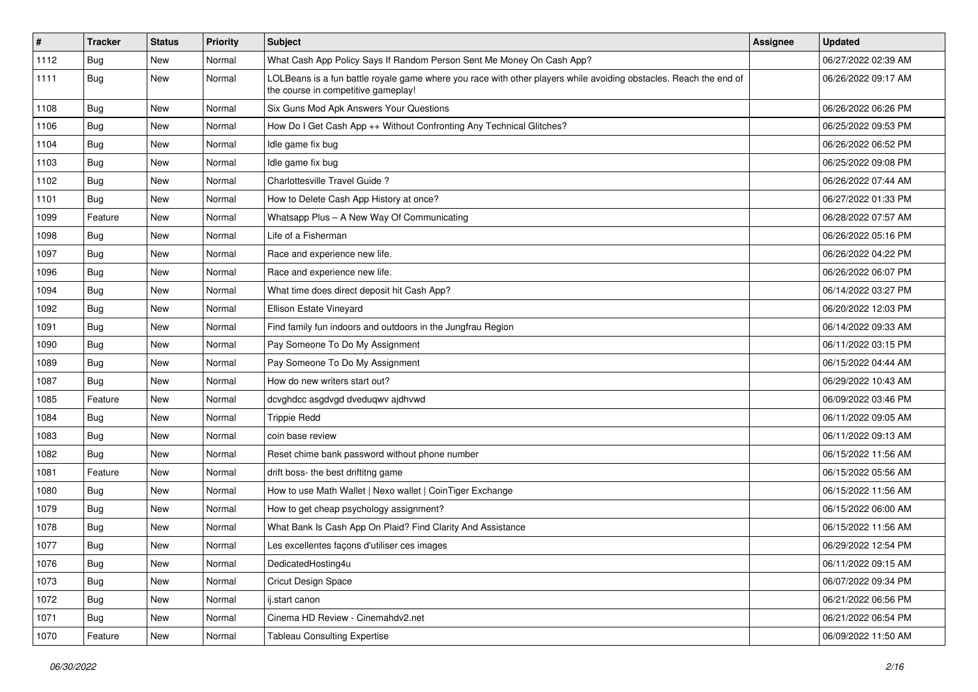| $\vert$ # | <b>Tracker</b> | <b>Status</b> | <b>Priority</b> | Subject                                                                                                                                                  | <b>Assignee</b> | <b>Updated</b>      |
|-----------|----------------|---------------|-----------------|----------------------------------------------------------------------------------------------------------------------------------------------------------|-----------------|---------------------|
| 1112      | <b>Bug</b>     | New           | Normal          | What Cash App Policy Says If Random Person Sent Me Money On Cash App?                                                                                    |                 | 06/27/2022 02:39 AM |
| 1111      | Bug            | New           | Normal          | LOLBeans is a fun battle royale game where you race with other players while avoiding obstacles. Reach the end of<br>the course in competitive gameplay! |                 | 06/26/2022 09:17 AM |
| 1108      | Bug            | New           | Normal          | Six Guns Mod Apk Answers Your Questions                                                                                                                  |                 | 06/26/2022 06:26 PM |
| 1106      | Bug            | New           | Normal          | How Do I Get Cash App ++ Without Confronting Any Technical Glitches?                                                                                     |                 | 06/25/2022 09:53 PM |
| 1104      | Bug            | New           | Normal          | Idle game fix bug                                                                                                                                        |                 | 06/26/2022 06:52 PM |
| 1103      | <b>Bug</b>     | New           | Normal          | Idle game fix bug                                                                                                                                        |                 | 06/25/2022 09:08 PM |
| 1102      | Bug            | New           | Normal          | Charlottesville Travel Guide ?                                                                                                                           |                 | 06/26/2022 07:44 AM |
| 1101      | Bug            | New           | Normal          | How to Delete Cash App History at once?                                                                                                                  |                 | 06/27/2022 01:33 PM |
| 1099      | Feature        | New           | Normal          | Whatsapp Plus - A New Way Of Communicating                                                                                                               |                 | 06/28/2022 07:57 AM |
| 1098      | <b>Bug</b>     | New           | Normal          | Life of a Fisherman                                                                                                                                      |                 | 06/26/2022 05:16 PM |
| 1097      | <b>Bug</b>     | New           | Normal          | Race and experience new life.                                                                                                                            |                 | 06/26/2022 04:22 PM |
| 1096      | <b>Bug</b>     | New           | Normal          | Race and experience new life.                                                                                                                            |                 | 06/26/2022 06:07 PM |
| 1094      | <b>Bug</b>     | New           | Normal          | What time does direct deposit hit Cash App?                                                                                                              |                 | 06/14/2022 03:27 PM |
| 1092      | <b>Bug</b>     | New           | Normal          | Ellison Estate Vineyard                                                                                                                                  |                 | 06/20/2022 12:03 PM |
| 1091      | Bug            | New           | Normal          | Find family fun indoors and outdoors in the Jungfrau Region                                                                                              |                 | 06/14/2022 09:33 AM |
| 1090      | <b>Bug</b>     | New           | Normal          | Pay Someone To Do My Assignment                                                                                                                          |                 | 06/11/2022 03:15 PM |
| 1089      | <b>Bug</b>     | New           | Normal          | Pay Someone To Do My Assignment                                                                                                                          |                 | 06/15/2022 04:44 AM |
| 1087      | <b>Bug</b>     | New           | Normal          | How do new writers start out?                                                                                                                            |                 | 06/29/2022 10:43 AM |
| 1085      | Feature        | New           | Normal          | dcvghdcc asgdvgd dveduqwv ajdhvwd                                                                                                                        |                 | 06/09/2022 03:46 PM |
| 1084      | Bug            | New           | Normal          | <b>Trippie Redd</b>                                                                                                                                      |                 | 06/11/2022 09:05 AM |
| 1083      | Bug            | New           | Normal          | coin base review                                                                                                                                         |                 | 06/11/2022 09:13 AM |
| 1082      | Bug            | New           | Normal          | Reset chime bank password without phone number                                                                                                           |                 | 06/15/2022 11:56 AM |
| 1081      | Feature        | New           | Normal          | drift boss- the best driftitng game                                                                                                                      |                 | 06/15/2022 05:56 AM |
| 1080      | <b>Bug</b>     | New           | Normal          | How to use Math Wallet   Nexo wallet   CoinTiger Exchange                                                                                                |                 | 06/15/2022 11:56 AM |
| 1079      | Bug            | New           | Normal          | How to get cheap psychology assignment?                                                                                                                  |                 | 06/15/2022 06:00 AM |
| 1078      | <b>Bug</b>     | New           | Normal          | What Bank Is Cash App On Plaid? Find Clarity And Assistance                                                                                              |                 | 06/15/2022 11:56 AM |
| 1077      | Bug            | New           | Normal          | Les excellentes façons d'utiliser ces images                                                                                                             |                 | 06/29/2022 12:54 PM |
| 1076      | Bug            | New           | Normal          | DedicatedHosting4u                                                                                                                                       |                 | 06/11/2022 09:15 AM |
| 1073      | <b>Bug</b>     | New           | Normal          | Cricut Design Space                                                                                                                                      |                 | 06/07/2022 09:34 PM |
| 1072      | <b>Bug</b>     | New           | Normal          | ij.start canon                                                                                                                                           |                 | 06/21/2022 06:56 PM |
| 1071      | Bug            | New           | Normal          | Cinema HD Review - Cinemahdv2.net                                                                                                                        |                 | 06/21/2022 06:54 PM |
| 1070      | Feature        | New           | Normal          | <b>Tableau Consulting Expertise</b>                                                                                                                      |                 | 06/09/2022 11:50 AM |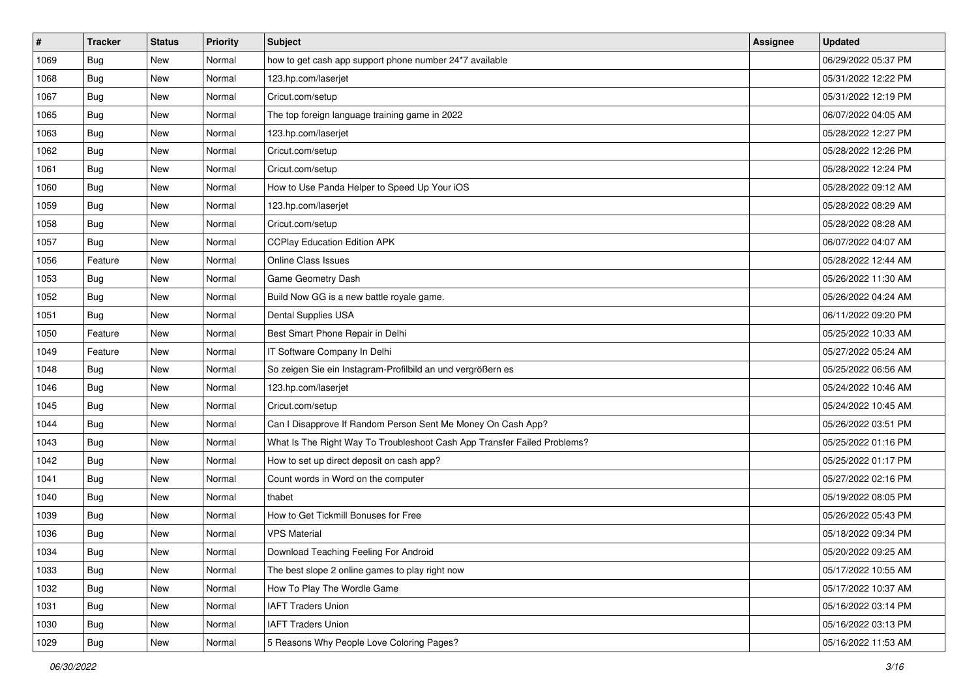| #    | <b>Tracker</b> | <b>Status</b> | <b>Priority</b> | <b>Subject</b>                                                           | <b>Assignee</b> | <b>Updated</b>      |
|------|----------------|---------------|-----------------|--------------------------------------------------------------------------|-----------------|---------------------|
| 1069 | <b>Bug</b>     | New           | Normal          | how to get cash app support phone number 24*7 available                  |                 | 06/29/2022 05:37 PM |
| 1068 | Bug            | New           | Normal          | 123.hp.com/laserjet                                                      |                 | 05/31/2022 12:22 PM |
| 1067 | Bug            | New           | Normal          | Cricut.com/setup                                                         |                 | 05/31/2022 12:19 PM |
| 1065 | <b>Bug</b>     | New           | Normal          | The top foreign language training game in 2022                           |                 | 06/07/2022 04:05 AM |
| 1063 | <b>Bug</b>     | New           | Normal          | 123.hp.com/laserjet                                                      |                 | 05/28/2022 12:27 PM |
| 1062 | <b>Bug</b>     | New           | Normal          | Cricut.com/setup                                                         |                 | 05/28/2022 12:26 PM |
| 1061 | <b>Bug</b>     | New           | Normal          | Cricut.com/setup                                                         |                 | 05/28/2022 12:24 PM |
| 1060 | Bug            | New           | Normal          | How to Use Panda Helper to Speed Up Your iOS                             |                 | 05/28/2022 09:12 AM |
| 1059 | <b>Bug</b>     | New           | Normal          | 123.hp.com/laserjet                                                      |                 | 05/28/2022 08:29 AM |
| 1058 | Bug            | New           | Normal          | Cricut.com/setup                                                         |                 | 05/28/2022 08:28 AM |
| 1057 | <b>Bug</b>     | New           | Normal          | <b>CCPlay Education Edition APK</b>                                      |                 | 06/07/2022 04:07 AM |
| 1056 | Feature        | New           | Normal          | Online Class Issues                                                      |                 | 05/28/2022 12:44 AM |
| 1053 | Bug            | New           | Normal          | Game Geometry Dash                                                       |                 | 05/26/2022 11:30 AM |
| 1052 | Bug            | New           | Normal          | Build Now GG is a new battle royale game.                                |                 | 05/26/2022 04:24 AM |
| 1051 | <b>Bug</b>     | New           | Normal          | Dental Supplies USA                                                      |                 | 06/11/2022 09:20 PM |
| 1050 | Feature        | New           | Normal          | Best Smart Phone Repair in Delhi                                         |                 | 05/25/2022 10:33 AM |
| 1049 | Feature        | New           | Normal          | IT Software Company In Delhi                                             |                 | 05/27/2022 05:24 AM |
| 1048 | Bug            | New           | Normal          | So zeigen Sie ein Instagram-Profilbild an und vergrößern es              |                 | 05/25/2022 06:56 AM |
| 1046 | <b>Bug</b>     | New           | Normal          | 123.hp.com/laserjet                                                      |                 | 05/24/2022 10:46 AM |
| 1045 | Bug            | New           | Normal          | Cricut.com/setup                                                         |                 | 05/24/2022 10:45 AM |
| 1044 | <b>Bug</b>     | New           | Normal          | Can I Disapprove If Random Person Sent Me Money On Cash App?             |                 | 05/26/2022 03:51 PM |
| 1043 | <b>Bug</b>     | New           | Normal          | What Is The Right Way To Troubleshoot Cash App Transfer Failed Problems? |                 | 05/25/2022 01:16 PM |
| 1042 | <b>Bug</b>     | New           | Normal          | How to set up direct deposit on cash app?                                |                 | 05/25/2022 01:17 PM |
| 1041 | <b>Bug</b>     | New           | Normal          | Count words in Word on the computer                                      |                 | 05/27/2022 02:16 PM |
| 1040 | <b>Bug</b>     | New           | Normal          | thabet                                                                   |                 | 05/19/2022 08:05 PM |
| 1039 | Bug            | New           | Normal          | How to Get Tickmill Bonuses for Free                                     |                 | 05/26/2022 05:43 PM |
| 1036 | <b>Bug</b>     | New           | Normal          | VPS Material                                                             |                 | 05/18/2022 09:34 PM |
| 1034 | Bug            | New           | Normal          | Download Teaching Feeling For Android                                    |                 | 05/20/2022 09:25 AM |
| 1033 | <b>Bug</b>     | New           | Normal          | The best slope 2 online games to play right now                          |                 | 05/17/2022 10:55 AM |
| 1032 | Bug            | New           | Normal          | How To Play The Wordle Game                                              |                 | 05/17/2022 10:37 AM |
| 1031 | Bug            | New           | Normal          | <b>IAFT Traders Union</b>                                                |                 | 05/16/2022 03:14 PM |
| 1030 | <b>Bug</b>     | New           | Normal          | <b>IAFT Traders Union</b>                                                |                 | 05/16/2022 03:13 PM |
| 1029 | <b>Bug</b>     | New           | Normal          | 5 Reasons Why People Love Coloring Pages?                                |                 | 05/16/2022 11:53 AM |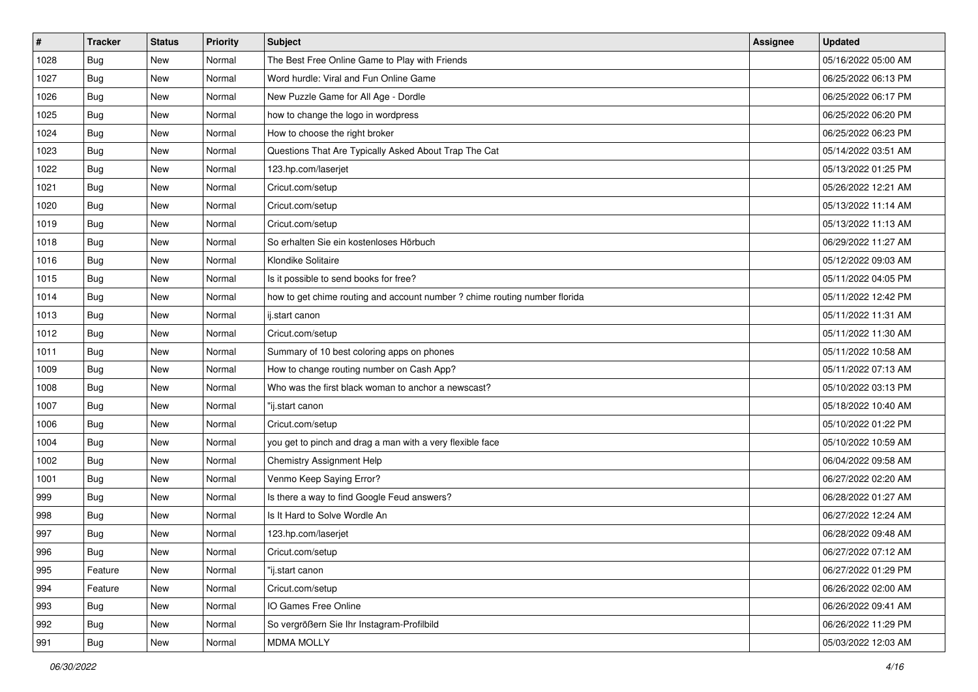| $\vert$ # | <b>Tracker</b> | <b>Status</b> | <b>Priority</b> | Subject                                                                    | <b>Assignee</b> | <b>Updated</b>      |
|-----------|----------------|---------------|-----------------|----------------------------------------------------------------------------|-----------------|---------------------|
| 1028      | <b>Bug</b>     | New           | Normal          | The Best Free Online Game to Play with Friends                             |                 | 05/16/2022 05:00 AM |
| 1027      | <b>Bug</b>     | New           | Normal          | Word hurdle: Viral and Fun Online Game                                     |                 | 06/25/2022 06:13 PM |
| 1026      | Bug            | New           | Normal          | New Puzzle Game for All Age - Dordle                                       |                 | 06/25/2022 06:17 PM |
| 1025      | <b>Bug</b>     | New           | Normal          | how to change the logo in wordpress                                        |                 | 06/25/2022 06:20 PM |
| 1024      | Bug            | New           | Normal          | How to choose the right broker                                             |                 | 06/25/2022 06:23 PM |
| 1023      | Bug            | New           | Normal          | Questions That Are Typically Asked About Trap The Cat                      |                 | 05/14/2022 03:51 AM |
| 1022      | Bug            | New           | Normal          | 123.hp.com/laserjet                                                        |                 | 05/13/2022 01:25 PM |
| 1021      | <b>Bug</b>     | New           | Normal          | Cricut.com/setup                                                           |                 | 05/26/2022 12:21 AM |
| 1020      | <b>Bug</b>     | New           | Normal          | Cricut.com/setup                                                           |                 | 05/13/2022 11:14 AM |
| 1019      | <b>Bug</b>     | New           | Normal          | Cricut.com/setup                                                           |                 | 05/13/2022 11:13 AM |
| 1018      | <b>Bug</b>     | New           | Normal          | So erhalten Sie ein kostenloses Hörbuch                                    |                 | 06/29/2022 11:27 AM |
| 1016      | <b>Bug</b>     | New           | Normal          | Klondike Solitaire                                                         |                 | 05/12/2022 09:03 AM |
| 1015      | Bug            | New           | Normal          | Is it possible to send books for free?                                     |                 | 05/11/2022 04:05 PM |
| 1014      | Bug            | New           | Normal          | how to get chime routing and account number ? chime routing number florida |                 | 05/11/2022 12:42 PM |
| 1013      | Bug            | New           | Normal          | ij.start canon                                                             |                 | 05/11/2022 11:31 AM |
| 1012      | Bug            | New           | Normal          | Cricut.com/setup                                                           |                 | 05/11/2022 11:30 AM |
| 1011      | <b>Bug</b>     | New           | Normal          | Summary of 10 best coloring apps on phones                                 |                 | 05/11/2022 10:58 AM |
| 1009      | <b>Bug</b>     | New           | Normal          | How to change routing number on Cash App?                                  |                 | 05/11/2022 07:13 AM |
| 1008      | Bug            | New           | Normal          | Who was the first black woman to anchor a newscast?                        |                 | 05/10/2022 03:13 PM |
| 1007      | Bug            | New           | Normal          | "ij.start canon                                                            |                 | 05/18/2022 10:40 AM |
| 1006      | <b>Bug</b>     | New           | Normal          | Cricut.com/setup                                                           |                 | 05/10/2022 01:22 PM |
| 1004      | <b>Bug</b>     | New           | Normal          | you get to pinch and drag a man with a very flexible face                  |                 | 05/10/2022 10:59 AM |
| 1002      | Bug            | New           | Normal          | <b>Chemistry Assignment Help</b>                                           |                 | 06/04/2022 09:58 AM |
| 1001      | <b>Bug</b>     | New           | Normal          | Venmo Keep Saying Error?                                                   |                 | 06/27/2022 02:20 AM |
| 999       | <b>Bug</b>     | New           | Normal          | Is there a way to find Google Feud answers?                                |                 | 06/28/2022 01:27 AM |
| 998       | Bug            | New           | Normal          | Is It Hard to Solve Wordle An                                              |                 | 06/27/2022 12:24 AM |
| 997       | <b>Bug</b>     | New           | Normal          | 123.hp.com/laserjet                                                        |                 | 06/28/2022 09:48 AM |
| 996       | I Bug          | New           | Normal          | Cricut.com/setup                                                           |                 | 06/27/2022 07:12 AM |
| 995       | Feature        | New           | Normal          | "ij.start canon                                                            |                 | 06/27/2022 01:29 PM |
| 994       | Feature        | New           | Normal          | Cricut.com/setup                                                           |                 | 06/26/2022 02:00 AM |
| 993       | Bug            | New           | Normal          | IO Games Free Online                                                       |                 | 06/26/2022 09:41 AM |
| 992       | <b>Bug</b>     | New           | Normal          | So vergrößern Sie Ihr Instagram-Profilbild                                 |                 | 06/26/2022 11:29 PM |
| 991       | <b>Bug</b>     | New           | Normal          | <b>MDMA MOLLY</b>                                                          |                 | 05/03/2022 12:03 AM |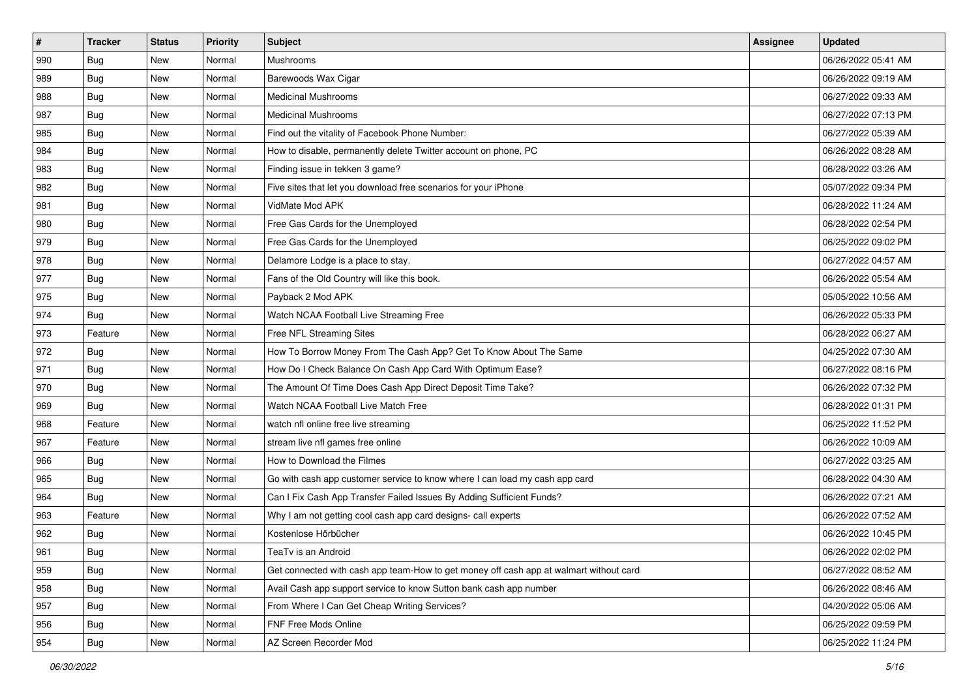| $\sharp$ | <b>Tracker</b> | <b>Status</b> | <b>Priority</b> | Subject                                                                                | <b>Assignee</b> | <b>Updated</b>      |
|----------|----------------|---------------|-----------------|----------------------------------------------------------------------------------------|-----------------|---------------------|
| 990      | <b>Bug</b>     | New           | Normal          | Mushrooms                                                                              |                 | 06/26/2022 05:41 AM |
| 989      | Bug            | <b>New</b>    | Normal          | Barewoods Wax Cigar                                                                    |                 | 06/26/2022 09:19 AM |
| 988      | Bug            | New           | Normal          | <b>Medicinal Mushrooms</b>                                                             |                 | 06/27/2022 09:33 AM |
| 987      | Bug            | New           | Normal          | <b>Medicinal Mushrooms</b>                                                             |                 | 06/27/2022 07:13 PM |
| 985      | Bug            | <b>New</b>    | Normal          | Find out the vitality of Facebook Phone Number:                                        |                 | 06/27/2022 05:39 AM |
| 984      | Bug            | New           | Normal          | How to disable, permanently delete Twitter account on phone, PC                        |                 | 06/26/2022 08:28 AM |
| 983      | Bug            | New           | Normal          | Finding issue in tekken 3 game?                                                        |                 | 06/28/2022 03:26 AM |
| 982      | <b>Bug</b>     | New           | Normal          | Five sites that let you download free scenarios for your iPhone                        |                 | 05/07/2022 09:34 PM |
| 981      | Bug            | New           | Normal          | VidMate Mod APK                                                                        |                 | 06/28/2022 11:24 AM |
| 980      | Bug            | New           | Normal          | Free Gas Cards for the Unemployed                                                      |                 | 06/28/2022 02:54 PM |
| 979      | <b>Bug</b>     | New           | Normal          | Free Gas Cards for the Unemployed                                                      |                 | 06/25/2022 09:02 PM |
| 978      | <b>Bug</b>     | New           | Normal          | Delamore Lodge is a place to stay.                                                     |                 | 06/27/2022 04:57 AM |
| 977      | Bug            | New           | Normal          | Fans of the Old Country will like this book.                                           |                 | 06/26/2022 05:54 AM |
| 975      | Bug            | New           | Normal          | Payback 2 Mod APK                                                                      |                 | 05/05/2022 10:56 AM |
| 974      | Bug            | New           | Normal          | Watch NCAA Football Live Streaming Free                                                |                 | 06/26/2022 05:33 PM |
| 973      | Feature        | New           | Normal          | Free NFL Streaming Sites                                                               |                 | 06/28/2022 06:27 AM |
| 972      | Bug            | New           | Normal          | How To Borrow Money From The Cash App? Get To Know About The Same                      |                 | 04/25/2022 07:30 AM |
| 971      | Bug            | <b>New</b>    | Normal          | How Do I Check Balance On Cash App Card With Optimum Ease?                             |                 | 06/27/2022 08:16 PM |
| 970      | Bug            | New           | Normal          | The Amount Of Time Does Cash App Direct Deposit Time Take?                             |                 | 06/26/2022 07:32 PM |
| 969      | Bug            | New           | Normal          | Watch NCAA Football Live Match Free                                                    |                 | 06/28/2022 01:31 PM |
| 968      | Feature        | New           | Normal          | watch nfl online free live streaming                                                   |                 | 06/25/2022 11:52 PM |
| 967      | Feature        | New           | Normal          | stream live nfl games free online                                                      |                 | 06/26/2022 10:09 AM |
| 966      | Bug            | <b>New</b>    | Normal          | How to Download the Filmes                                                             |                 | 06/27/2022 03:25 AM |
| 965      | <b>Bug</b>     | New           | Normal          | Go with cash app customer service to know where I can load my cash app card            |                 | 06/28/2022 04:30 AM |
| 964      | Bug            | New           | Normal          | Can I Fix Cash App Transfer Failed Issues By Adding Sufficient Funds?                  |                 | 06/26/2022 07:21 AM |
| 963      | Feature        | New           | Normal          | Why I am not getting cool cash app card designs- call experts                          |                 | 06/26/2022 07:52 AM |
| 962      | <b>Bug</b>     | New           | Normal          | Kostenlose Hörbücher                                                                   |                 | 06/26/2022 10:45 PM |
| 961      | I Bug          | New           | Normal          | TeaTv is an Android                                                                    |                 | 06/26/2022 02:02 PM |
| 959      | Bug            | New           | Normal          | Get connected with cash app team-How to get money off cash app at walmart without card |                 | 06/27/2022 08:52 AM |
| 958      | Bug            | New           | Normal          | Avail Cash app support service to know Sutton bank cash app number                     |                 | 06/26/2022 08:46 AM |
| 957      | <b>Bug</b>     | New           | Normal          | From Where I Can Get Cheap Writing Services?                                           |                 | 04/20/2022 05:06 AM |
| 956      | Bug            | New           | Normal          | FNF Free Mods Online                                                                   |                 | 06/25/2022 09:59 PM |
| 954      | <b>Bug</b>     | New           | Normal          | AZ Screen Recorder Mod                                                                 |                 | 06/25/2022 11:24 PM |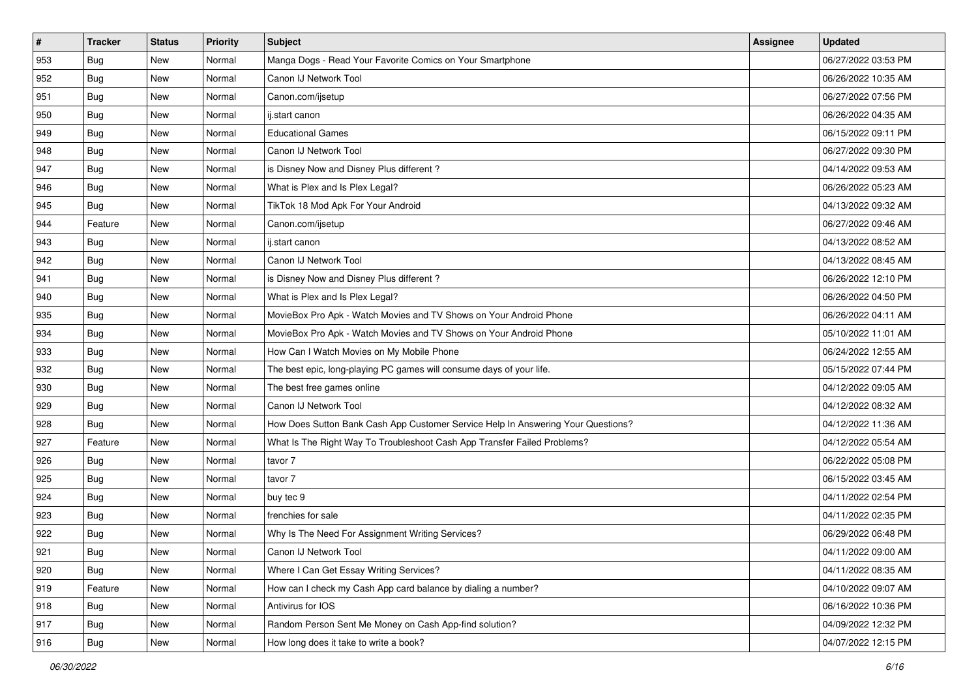| $\vert$ # | <b>Tracker</b> | <b>Status</b> | <b>Priority</b> | Subject                                                                          | <b>Assignee</b> | <b>Updated</b>      |
|-----------|----------------|---------------|-----------------|----------------------------------------------------------------------------------|-----------------|---------------------|
| 953       | <b>Bug</b>     | New           | Normal          | Manga Dogs - Read Your Favorite Comics on Your Smartphone                        |                 | 06/27/2022 03:53 PM |
| 952       | Bug            | New           | Normal          | Canon IJ Network Tool                                                            |                 | 06/26/2022 10:35 AM |
| 951       | Bug            | New           | Normal          | Canon.com/ijsetup                                                                |                 | 06/27/2022 07:56 PM |
| 950       | Bug            | New           | Normal          | ij.start canon                                                                   |                 | 06/26/2022 04:35 AM |
| 949       | Bug            | New           | Normal          | <b>Educational Games</b>                                                         |                 | 06/15/2022 09:11 PM |
| 948       | Bug            | New           | Normal          | Canon IJ Network Tool                                                            |                 | 06/27/2022 09:30 PM |
| 947       | <b>Bug</b>     | New           | Normal          | is Disney Now and Disney Plus different?                                         |                 | 04/14/2022 09:53 AM |
| 946       | Bug            | <b>New</b>    | Normal          | What is Plex and Is Plex Legal?                                                  |                 | 06/26/2022 05:23 AM |
| 945       | Bug            | New           | Normal          | TikTok 18 Mod Apk For Your Android                                               |                 | 04/13/2022 09:32 AM |
| 944       | Feature        | New           | Normal          | Canon.com/ijsetup                                                                |                 | 06/27/2022 09:46 AM |
| 943       | <b>Bug</b>     | New           | Normal          | ij.start canon                                                                   |                 | 04/13/2022 08:52 AM |
| 942       | Bug            | New           | Normal          | Canon IJ Network Tool                                                            |                 | 04/13/2022 08:45 AM |
| 941       | Bug            | <b>New</b>    | Normal          | is Disney Now and Disney Plus different?                                         |                 | 06/26/2022 12:10 PM |
| 940       | <b>Bug</b>     | New           | Normal          | What is Plex and Is Plex Legal?                                                  |                 | 06/26/2022 04:50 PM |
| 935       | Bug            | New           | Normal          | MovieBox Pro Apk - Watch Movies and TV Shows on Your Android Phone               |                 | 06/26/2022 04:11 AM |
| 934       | Bug            | New           | Normal          | MovieBox Pro Apk - Watch Movies and TV Shows on Your Android Phone               |                 | 05/10/2022 11:01 AM |
| 933       | Bug            | New           | Normal          | How Can I Watch Movies on My Mobile Phone                                        |                 | 06/24/2022 12:55 AM |
| 932       | Bug            | New           | Normal          | The best epic, long-playing PC games will consume days of your life.             |                 | 05/15/2022 07:44 PM |
| 930       | <b>Bug</b>     | New           | Normal          | The best free games online                                                       |                 | 04/12/2022 09:05 AM |
| 929       | Bug            | New           | Normal          | Canon IJ Network Tool                                                            |                 | 04/12/2022 08:32 AM |
| 928       | Bug            | <b>New</b>    | Normal          | How Does Sutton Bank Cash App Customer Service Help In Answering Your Questions? |                 | 04/12/2022 11:36 AM |
| 927       | Feature        | New           | Normal          | What Is The Right Way To Troubleshoot Cash App Transfer Failed Problems?         |                 | 04/12/2022 05:54 AM |
| 926       | <b>Bug</b>     | New           | Normal          | tavor 7                                                                          |                 | 06/22/2022 05:08 PM |
| 925       | <b>Bug</b>     | New           | Normal          | tavor 7                                                                          |                 | 06/15/2022 03:45 AM |
| 924       | Bug            | New           | Normal          | buy tec 9                                                                        |                 | 04/11/2022 02:54 PM |
| 923       | Bug            | <b>New</b>    | Normal          | frenchies for sale                                                               |                 | 04/11/2022 02:35 PM |
| 922       | <b>Bug</b>     | New           | Normal          | Why Is The Need For Assignment Writing Services?                                 |                 | 06/29/2022 06:48 PM |
| 921       | <b>Bug</b>     | New           | Normal          | Canon IJ Network Tool                                                            |                 | 04/11/2022 09:00 AM |
| 920       | <b>Bug</b>     | New           | Normal          | Where I Can Get Essay Writing Services?                                          |                 | 04/11/2022 08:35 AM |
| 919       | Feature        | New           | Normal          | How can I check my Cash App card balance by dialing a number?                    |                 | 04/10/2022 09:07 AM |
| 918       | <b>Bug</b>     | New           | Normal          | Antivirus for IOS                                                                |                 | 06/16/2022 10:36 PM |
| 917       | Bug            | New           | Normal          | Random Person Sent Me Money on Cash App-find solution?                           |                 | 04/09/2022 12:32 PM |
| 916       | <b>Bug</b>     | New           | Normal          | How long does it take to write a book?                                           |                 | 04/07/2022 12:15 PM |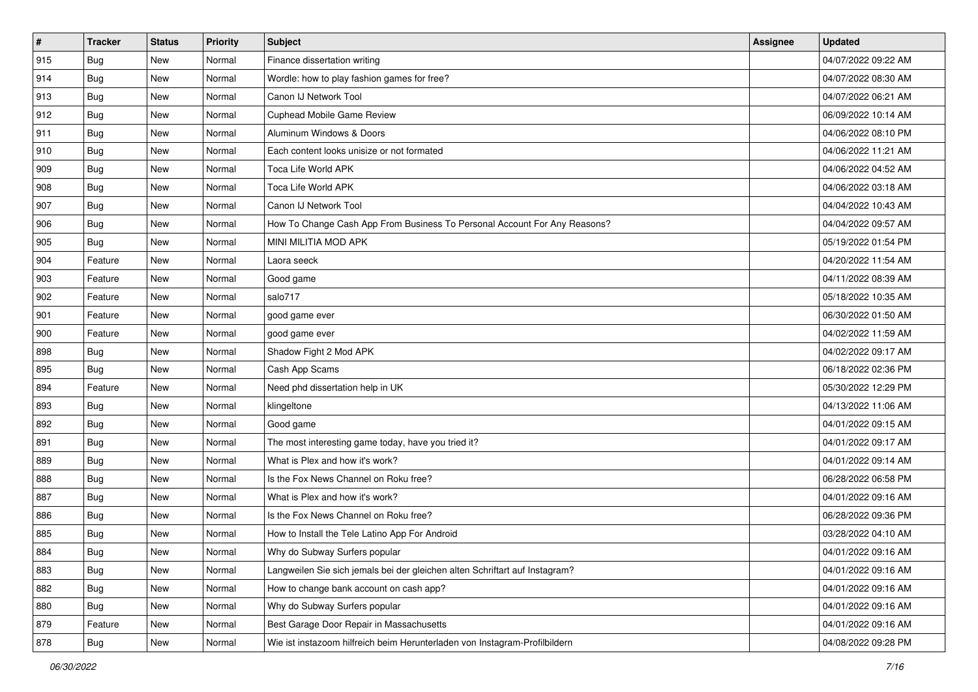| $\vert$ # | <b>Tracker</b> | <b>Status</b> | <b>Priority</b> | Subject                                                                     | <b>Assignee</b> | <b>Updated</b>      |
|-----------|----------------|---------------|-----------------|-----------------------------------------------------------------------------|-----------------|---------------------|
| 915       | <b>Bug</b>     | New           | Normal          | Finance dissertation writing                                                |                 | 04/07/2022 09:22 AM |
| 914       | Bug            | New           | Normal          | Wordle: how to play fashion games for free?                                 |                 | 04/07/2022 08:30 AM |
| 913       | Bug            | New           | Normal          | Canon IJ Network Tool                                                       |                 | 04/07/2022 06:21 AM |
| 912       | <b>Bug</b>     | <b>New</b>    | Normal          | Cuphead Mobile Game Review                                                  |                 | 06/09/2022 10:14 AM |
| 911       | Bug            | New           | Normal          | Aluminum Windows & Doors                                                    |                 | 04/06/2022 08:10 PM |
| 910       | <b>Bug</b>     | New           | Normal          | Each content looks unisize or not formated                                  |                 | 04/06/2022 11:21 AM |
| 909       | Bug            | New           | Normal          | Toca Life World APK                                                         |                 | 04/06/2022 04:52 AM |
| 908       | <b>Bug</b>     | New           | Normal          | Toca Life World APK                                                         |                 | 04/06/2022 03:18 AM |
| 907       | Bug            | New           | Normal          | Canon IJ Network Tool                                                       |                 | 04/04/2022 10:43 AM |
| 906       | Bug            | New           | Normal          | How To Change Cash App From Business To Personal Account For Any Reasons?   |                 | 04/04/2022 09:57 AM |
| 905       | <b>Bug</b>     | New           | Normal          | MINI MILITIA MOD APK                                                        |                 | 05/19/2022 01:54 PM |
| 904       | Feature        | New           | Normal          | Laora seeck                                                                 |                 | 04/20/2022 11:54 AM |
| 903       | Feature        | <b>New</b>    | Normal          | Good game                                                                   |                 | 04/11/2022 08:39 AM |
| 902       | Feature        | New           | Normal          | salo717                                                                     |                 | 05/18/2022 10:35 AM |
| 901       | Feature        | New           | Normal          | good game ever                                                              |                 | 06/30/2022 01:50 AM |
| 900       | Feature        | New           | Normal          | good game ever                                                              |                 | 04/02/2022 11:59 AM |
| 898       | <b>Bug</b>     | New           | Normal          | Shadow Fight 2 Mod APK                                                      |                 | 04/02/2022 09:17 AM |
| 895       | Bug            | <b>New</b>    | Normal          | Cash App Scams                                                              |                 | 06/18/2022 02:36 PM |
| 894       | Feature        | New           | Normal          | Need phd dissertation help in UK                                            |                 | 05/30/2022 12:29 PM |
| 893       | Bug            | New           | Normal          | klingeltone                                                                 |                 | 04/13/2022 11:06 AM |
| 892       | <b>Bug</b>     | New           | Normal          | Good game                                                                   |                 | 04/01/2022 09:15 AM |
| 891       | Bug            | New           | Normal          | The most interesting game today, have you tried it?                         |                 | 04/01/2022 09:17 AM |
| 889       | Bug            | New           | Normal          | What is Plex and how it's work?                                             |                 | 04/01/2022 09:14 AM |
| 888       | <b>Bug</b>     | New           | Normal          | Is the Fox News Channel on Roku free?                                       |                 | 06/28/2022 06:58 PM |
| 887       | <b>Bug</b>     | New           | Normal          | What is Plex and how it's work?                                             |                 | 04/01/2022 09:16 AM |
| 886       | Bug            | <b>New</b>    | Normal          | Is the Fox News Channel on Roku free?                                       |                 | 06/28/2022 09:36 PM |
| 885       | <b>Bug</b>     | New           | Normal          | How to Install the Tele Latino App For Android                              |                 | 03/28/2022 04:10 AM |
| 884       | <b>Bug</b>     | New           | Normal          | Why do Subway Surfers popular                                               |                 | 04/01/2022 09:16 AM |
| 883       | Bug            | New           | Normal          | Langweilen Sie sich jemals bei der gleichen alten Schriftart auf Instagram? |                 | 04/01/2022 09:16 AM |
| 882       | <b>Bug</b>     | New           | Normal          | How to change bank account on cash app?                                     |                 | 04/01/2022 09:16 AM |
| 880       | <b>Bug</b>     | New           | Normal          | Why do Subway Surfers popular                                               |                 | 04/01/2022 09:16 AM |
| 879       | Feature        | New           | Normal          | Best Garage Door Repair in Massachusetts                                    |                 | 04/01/2022 09:16 AM |
| 878       | <b>Bug</b>     | New           | Normal          | Wie ist instazoom hilfreich beim Herunterladen von Instagram-Profilbildern  |                 | 04/08/2022 09:28 PM |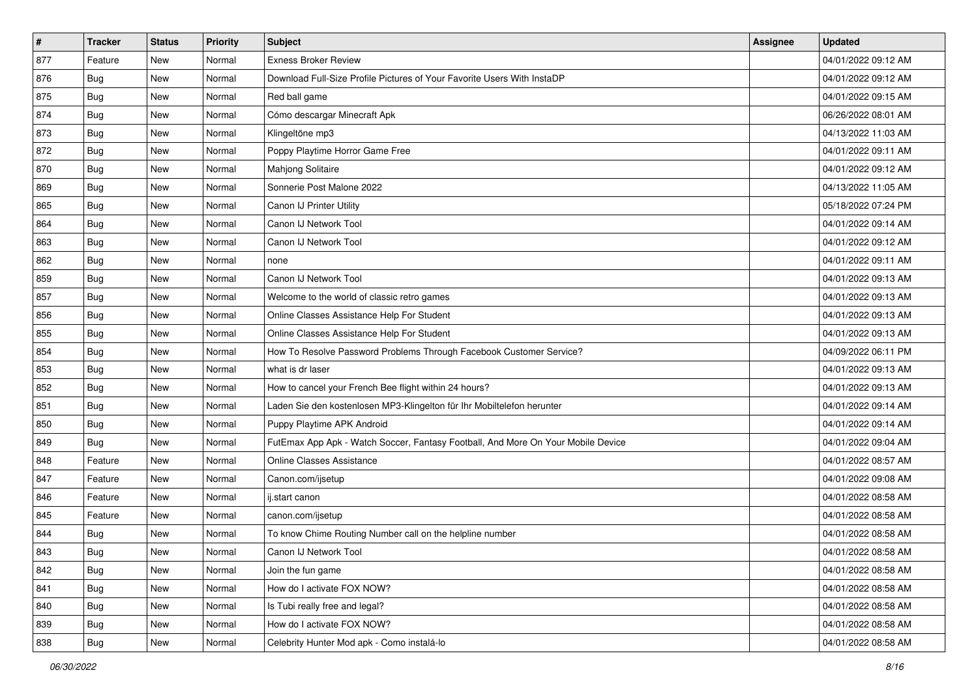| $\vert$ # | <b>Tracker</b> | <b>Status</b> | <b>Priority</b> | Subject                                                                          | <b>Assignee</b> | <b>Updated</b>      |
|-----------|----------------|---------------|-----------------|----------------------------------------------------------------------------------|-----------------|---------------------|
| 877       | Feature        | New           | Normal          | <b>Exness Broker Review</b>                                                      |                 | 04/01/2022 09:12 AM |
| 876       | <b>Bug</b>     | New           | Normal          | Download Full-Size Profile Pictures of Your Favorite Users With InstaDP          |                 | 04/01/2022 09:12 AM |
| 875       | Bug            | New           | Normal          | Red ball game                                                                    |                 | 04/01/2022 09:15 AM |
| 874       | Bug            | New           | Normal          | Cómo descargar Minecraft Apk                                                     |                 | 06/26/2022 08:01 AM |
| 873       | Bug            | New           | Normal          | Klingeltöne mp3                                                                  |                 | 04/13/2022 11:03 AM |
| 872       | Bug            | New           | Normal          | Poppy Playtime Horror Game Free                                                  |                 | 04/01/2022 09:11 AM |
| 870       | <b>Bug</b>     | New           | Normal          | Mahjong Solitaire                                                                |                 | 04/01/2022 09:12 AM |
| 869       | Bug            | <b>New</b>    | Normal          | Sonnerie Post Malone 2022                                                        |                 | 04/13/2022 11:05 AM |
| 865       | <b>Bug</b>     | New           | Normal          | Canon IJ Printer Utility                                                         |                 | 05/18/2022 07:24 PM |
| 864       | Bug            | New           | Normal          | Canon IJ Network Tool                                                            |                 | 04/01/2022 09:14 AM |
| 863       | <b>Bug</b>     | New           | Normal          | Canon IJ Network Tool                                                            |                 | 04/01/2022 09:12 AM |
| 862       | Bug            | New           | Normal          | none                                                                             |                 | 04/01/2022 09:11 AM |
| 859       | Bug            | <b>New</b>    | Normal          | Canon IJ Network Tool                                                            |                 | 04/01/2022 09:13 AM |
| 857       | Bug            | New           | Normal          | Welcome to the world of classic retro games                                      |                 | 04/01/2022 09:13 AM |
| 856       | Bug            | New           | Normal          | Online Classes Assistance Help For Student                                       |                 | 04/01/2022 09:13 AM |
| 855       | Bug            | New           | Normal          | Online Classes Assistance Help For Student                                       |                 | 04/01/2022 09:13 AM |
| 854       | Bug            | New           | Normal          | How To Resolve Password Problems Through Facebook Customer Service?              |                 | 04/09/2022 06:11 PM |
| 853       | Bug            | New           | Normal          | what is dr laser                                                                 |                 | 04/01/2022 09:13 AM |
| 852       | <b>Bug</b>     | New           | Normal          | How to cancel your French Bee flight within 24 hours?                            |                 | 04/01/2022 09:13 AM |
| 851       | Bug            | New           | Normal          | Laden Sie den kostenlosen MP3-Klingelton für Ihr Mobiltelefon herunter           |                 | 04/01/2022 09:14 AM |
| 850       | Bug            | <b>New</b>    | Normal          | Puppy Playtime APK Android                                                       |                 | 04/01/2022 09:14 AM |
| 849       | Bug            | New           | Normal          | FutEmax App Apk - Watch Soccer, Fantasy Football, And More On Your Mobile Device |                 | 04/01/2022 09:04 AM |
| 848       | Feature        | New           | Normal          | <b>Online Classes Assistance</b>                                                 |                 | 04/01/2022 08:57 AM |
| 847       | Feature        | New           | Normal          | Canon.com/ijsetup                                                                |                 | 04/01/2022 09:08 AM |
| 846       | Feature        | New           | Normal          | ij.start canon                                                                   |                 | 04/01/2022 08:58 AM |
| 845       | Feature        | <b>New</b>    | Normal          | canon.com/ijsetup                                                                |                 | 04/01/2022 08:58 AM |
| 844       | <b>Bug</b>     | New           | Normal          | To know Chime Routing Number call on the helpline number                         |                 | 04/01/2022 08:58 AM |
| 843       | <b>Bug</b>     | New           | Normal          | Canon IJ Network Tool                                                            |                 | 04/01/2022 08:58 AM |
| 842       | Bug            | New           | Normal          | Join the fun game                                                                |                 | 04/01/2022 08:58 AM |
| 841       | <b>Bug</b>     | New           | Normal          | How do I activate FOX NOW?                                                       |                 | 04/01/2022 08:58 AM |
| 840       | <b>Bug</b>     | New           | Normal          | Is Tubi really free and legal?                                                   |                 | 04/01/2022 08:58 AM |
| 839       | <b>Bug</b>     | New           | Normal          | How do I activate FOX NOW?                                                       |                 | 04/01/2022 08:58 AM |
| 838       | <b>Bug</b>     | New           | Normal          | Celebrity Hunter Mod apk - Como instalá-lo                                       |                 | 04/01/2022 08:58 AM |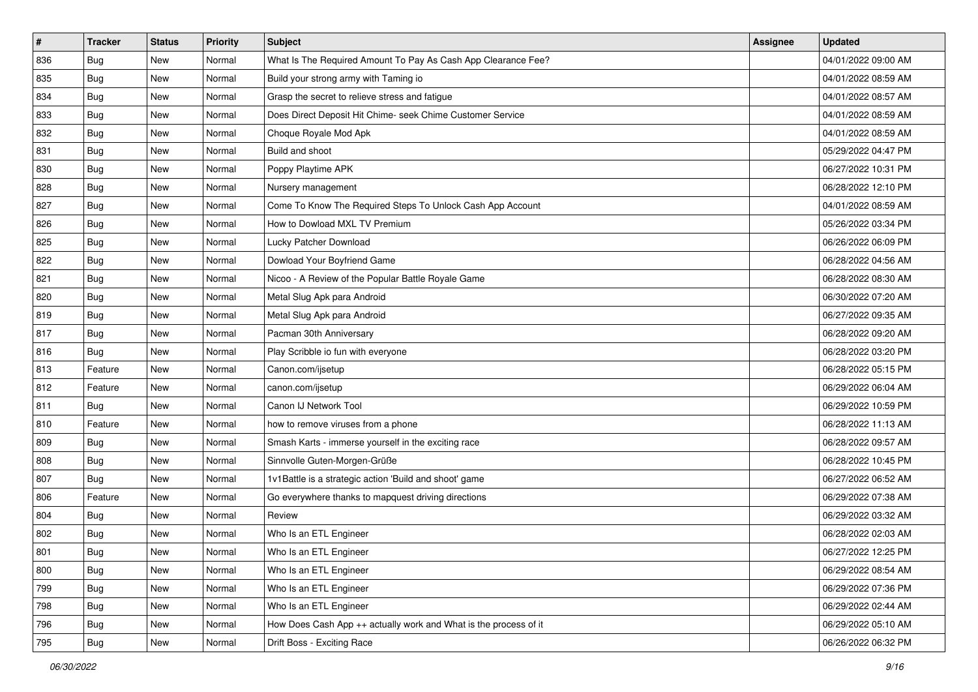| $\vert$ # | <b>Tracker</b> | <b>Status</b> | <b>Priority</b> | Subject                                                          | <b>Assignee</b> | <b>Updated</b>      |
|-----------|----------------|---------------|-----------------|------------------------------------------------------------------|-----------------|---------------------|
| 836       | <b>Bug</b>     | New           | Normal          | What Is The Required Amount To Pay As Cash App Clearance Fee?    |                 | 04/01/2022 09:00 AM |
| 835       | Bug            | New           | Normal          | Build your strong army with Taming io                            |                 | 04/01/2022 08:59 AM |
| 834       | Bug            | New           | Normal          | Grasp the secret to relieve stress and fatigue                   |                 | 04/01/2022 08:57 AM |
| 833       | Bug            | New           | Normal          | Does Direct Deposit Hit Chime- seek Chime Customer Service       |                 | 04/01/2022 08:59 AM |
| 832       | <b>Bug</b>     | New           | Normal          | Choque Royale Mod Apk                                            |                 | 04/01/2022 08:59 AM |
| 831       | Bug            | New           | Normal          | Build and shoot                                                  |                 | 05/29/2022 04:47 PM |
| 830       | Bug            | New           | Normal          | Poppy Playtime APK                                               |                 | 06/27/2022 10:31 PM |
| 828       | <b>Bug</b>     | New           | Normal          | Nursery management                                               |                 | 06/28/2022 12:10 PM |
| 827       | Bug            | New           | Normal          | Come To Know The Required Steps To Unlock Cash App Account       |                 | 04/01/2022 08:59 AM |
| 826       | Bug            | New           | Normal          | How to Dowload MXL TV Premium                                    |                 | 05/26/2022 03:34 PM |
| 825       | <b>Bug</b>     | New           | Normal          | Lucky Patcher Download                                           |                 | 06/26/2022 06:09 PM |
| 822       | <b>Bug</b>     | New           | Normal          | Dowload Your Boyfriend Game                                      |                 | 06/28/2022 04:56 AM |
| 821       | Bug            | New           | Normal          | Nicoo - A Review of the Popular Battle Royale Game               |                 | 06/28/2022 08:30 AM |
| 820       | <b>Bug</b>     | New           | Normal          | Metal Slug Apk para Android                                      |                 | 06/30/2022 07:20 AM |
| 819       | Bug            | New           | Normal          | Metal Slug Apk para Android                                      |                 | 06/27/2022 09:35 AM |
| 817       | Bug            | New           | Normal          | Pacman 30th Anniversary                                          |                 | 06/28/2022 09:20 AM |
| 816       | Bug            | New           | Normal          | Play Scribble io fun with everyone                               |                 | 06/28/2022 03:20 PM |
| 813       | Feature        | New           | Normal          | Canon.com/ijsetup                                                |                 | 06/28/2022 05:15 PM |
| 812       | Feature        | New           | Normal          | canon.com/ijsetup                                                |                 | 06/29/2022 06:04 AM |
| 811       | <b>Bug</b>     | New           | Normal          | Canon IJ Network Tool                                            |                 | 06/29/2022 10:59 PM |
| 810       | Feature        | New           | Normal          | how to remove viruses from a phone                               |                 | 06/28/2022 11:13 AM |
| 809       | Bug            | New           | Normal          | Smash Karts - immerse yourself in the exciting race              |                 | 06/28/2022 09:57 AM |
| 808       | <b>Bug</b>     | New           | Normal          | Sinnvolle Guten-Morgen-Grüße                                     |                 | 06/28/2022 10:45 PM |
| 807       | <b>Bug</b>     | New           | Normal          | 1v1Battle is a strategic action 'Build and shoot' game           |                 | 06/27/2022 06:52 AM |
| 806       | Feature        | New           | Normal          | Go everywhere thanks to mapquest driving directions              |                 | 06/29/2022 07:38 AM |
| 804       | Bug            | New           | Normal          | Review                                                           |                 | 06/29/2022 03:32 AM |
| 802       | <b>Bug</b>     | New           | Normal          | Who Is an ETL Engineer                                           |                 | 06/28/2022 02:03 AM |
| 801       | <b>Bug</b>     | New           | Normal          | Who Is an ETL Engineer                                           |                 | 06/27/2022 12:25 PM |
| 800       | <b>Bug</b>     | New           | Normal          | Who Is an ETL Engineer                                           |                 | 06/29/2022 08:54 AM |
| 799       | <b>Bug</b>     | New           | Normal          | Who Is an ETL Engineer                                           |                 | 06/29/2022 07:36 PM |
| 798       | <b>Bug</b>     | New           | Normal          | Who Is an ETL Engineer                                           |                 | 06/29/2022 02:44 AM |
| 796       | <b>Bug</b>     | New           | Normal          | How Does Cash App ++ actually work and What is the process of it |                 | 06/29/2022 05:10 AM |
| 795       | <b>Bug</b>     | New           | Normal          | Drift Boss - Exciting Race                                       |                 | 06/26/2022 06:32 PM |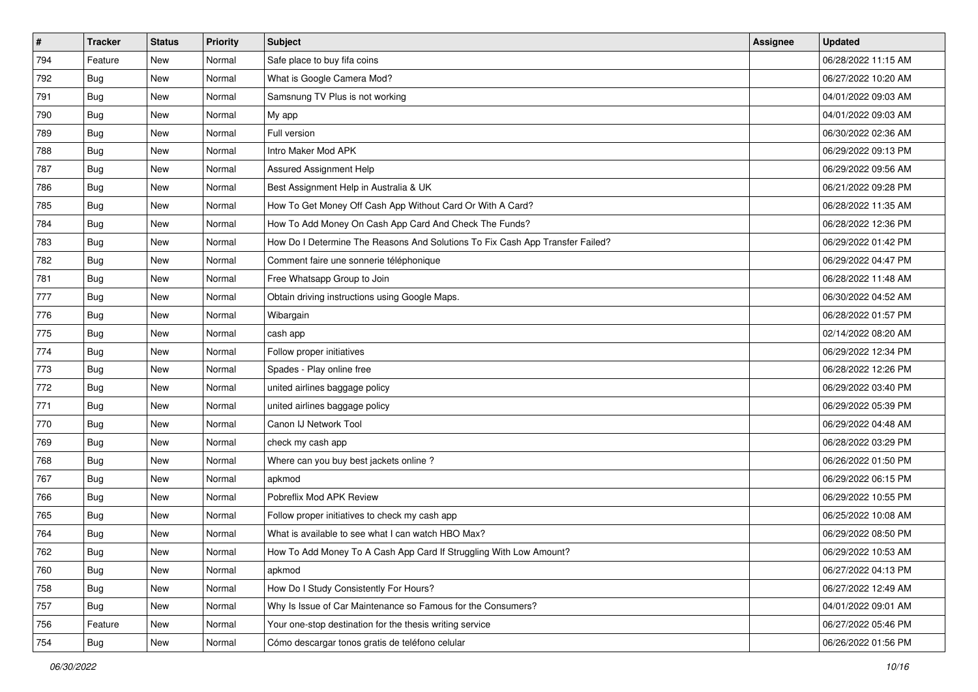| $\vert$ # | <b>Tracker</b> | <b>Status</b> | <b>Priority</b> | Subject                                                                       | <b>Assignee</b> | <b>Updated</b>      |
|-----------|----------------|---------------|-----------------|-------------------------------------------------------------------------------|-----------------|---------------------|
| 794       | Feature        | New           | Normal          | Safe place to buy fifa coins                                                  |                 | 06/28/2022 11:15 AM |
| 792       | <b>Bug</b>     | New           | Normal          | What is Google Camera Mod?                                                    |                 | 06/27/2022 10:20 AM |
| 791       | Bug            | New           | Normal          | Samsnung TV Plus is not working                                               |                 | 04/01/2022 09:03 AM |
| 790       | <b>Bug</b>     | New           | Normal          | My app                                                                        |                 | 04/01/2022 09:03 AM |
| 789       | Bug            | New           | Normal          | Full version                                                                  |                 | 06/30/2022 02:36 AM |
| 788       | <b>Bug</b>     | New           | Normal          | Intro Maker Mod APK                                                           |                 | 06/29/2022 09:13 PM |
| 787       | <b>Bug</b>     | New           | Normal          | Assured Assignment Help                                                       |                 | 06/29/2022 09:56 AM |
| 786       | <b>Bug</b>     | New           | Normal          | Best Assignment Help in Australia & UK                                        |                 | 06/21/2022 09:28 PM |
| 785       | <b>Bug</b>     | New           | Normal          | How To Get Money Off Cash App Without Card Or With A Card?                    |                 | 06/28/2022 11:35 AM |
| 784       | <b>Bug</b>     | New           | Normal          | How To Add Money On Cash App Card And Check The Funds?                        |                 | 06/28/2022 12:36 PM |
| 783       | <b>Bug</b>     | New           | Normal          | How Do I Determine The Reasons And Solutions To Fix Cash App Transfer Failed? |                 | 06/29/2022 01:42 PM |
| 782       | Bug            | New           | Normal          | Comment faire une sonnerie téléphonique                                       |                 | 06/29/2022 04:47 PM |
| 781       | Bug            | New           | Normal          | Free Whatsapp Group to Join                                                   |                 | 06/28/2022 11:48 AM |
| 777       | Bug            | New           | Normal          | Obtain driving instructions using Google Maps.                                |                 | 06/30/2022 04:52 AM |
| 776       | <b>Bug</b>     | New           | Normal          | Wibargain                                                                     |                 | 06/28/2022 01:57 PM |
| 775       | <b>Bug</b>     | New           | Normal          | cash app                                                                      |                 | 02/14/2022 08:20 AM |
| 774       | <b>Bug</b>     | New           | Normal          | Follow proper initiatives                                                     |                 | 06/29/2022 12:34 PM |
| 773       | Bug            | New           | Normal          | Spades - Play online free                                                     |                 | 06/28/2022 12:26 PM |
| 772       | <b>Bug</b>     | New           | Normal          | united airlines baggage policy                                                |                 | 06/29/2022 03:40 PM |
| 771       | <b>Bug</b>     | New           | Normal          | united airlines baggage policy                                                |                 | 06/29/2022 05:39 PM |
| 770       | <b>Bug</b>     | New           | Normal          | Canon IJ Network Tool                                                         |                 | 06/29/2022 04:48 AM |
| 769       | <b>Bug</b>     | New           | Normal          | check my cash app                                                             |                 | 06/28/2022 03:29 PM |
| 768       | <b>Bug</b>     | New           | Normal          | Where can you buy best jackets online?                                        |                 | 06/26/2022 01:50 PM |
| 767       | <b>Bug</b>     | New           | Normal          | apkmod                                                                        |                 | 06/29/2022 06:15 PM |
| 766       | <b>Bug</b>     | New           | Normal          | Pobreflix Mod APK Review                                                      |                 | 06/29/2022 10:55 PM |
| 765       | Bug            | New           | Normal          | Follow proper initiatives to check my cash app                                |                 | 06/25/2022 10:08 AM |
| 764       | <b>Bug</b>     | New           | Normal          | What is available to see what I can watch HBO Max?                            |                 | 06/29/2022 08:50 PM |
| 762       | I Bug          | New           | Normal          | How To Add Money To A Cash App Card If Struggling With Low Amount?            |                 | 06/29/2022 10:53 AM |
| 760       | <b>Bug</b>     | New           | Normal          | apkmod                                                                        |                 | 06/27/2022 04:13 PM |
| 758       | <b>Bug</b>     | New           | Normal          | How Do I Study Consistently For Hours?                                        |                 | 06/27/2022 12:49 AM |
| 757       | <b>Bug</b>     | New           | Normal          | Why Is Issue of Car Maintenance so Famous for the Consumers?                  |                 | 04/01/2022 09:01 AM |
| 756       | Feature        | New           | Normal          | Your one-stop destination for the thesis writing service                      |                 | 06/27/2022 05:46 PM |
| 754       | <b>Bug</b>     | New           | Normal          | Cómo descargar tonos gratis de teléfono celular                               |                 | 06/26/2022 01:56 PM |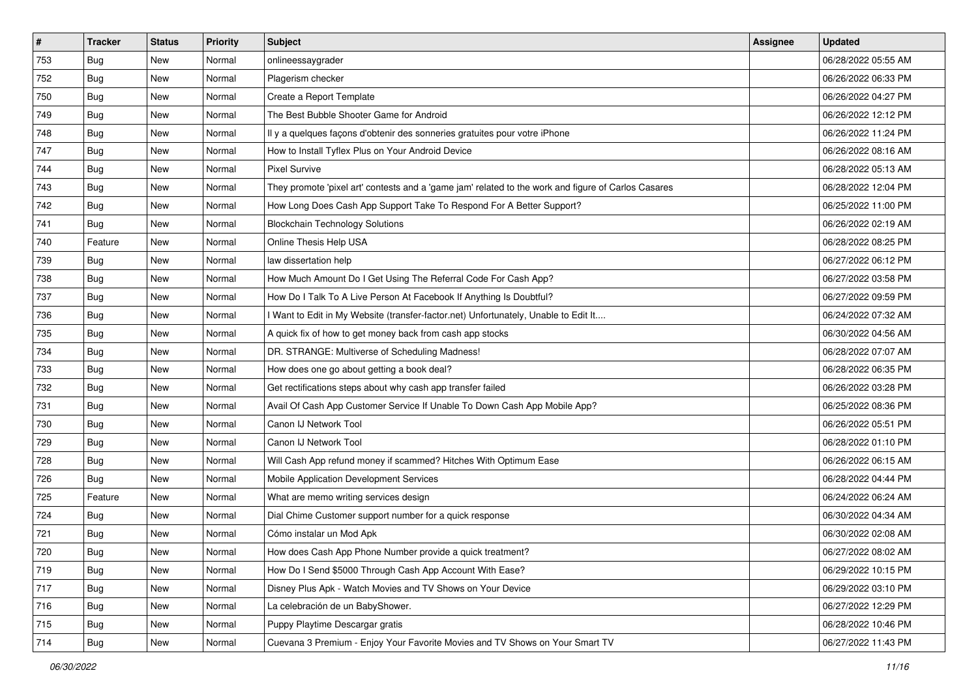| $\vert$ # | <b>Tracker</b> | <b>Status</b> | <b>Priority</b> | Subject                                                                                             | Assignee | <b>Updated</b>      |
|-----------|----------------|---------------|-----------------|-----------------------------------------------------------------------------------------------------|----------|---------------------|
| 753       | <b>Bug</b>     | New           | Normal          | onlineessaygrader                                                                                   |          | 06/28/2022 05:55 AM |
| 752       | <b>Bug</b>     | New           | Normal          | Plagerism checker                                                                                   |          | 06/26/2022 06:33 PM |
| 750       | <b>Bug</b>     | New           | Normal          | Create a Report Template                                                                            |          | 06/26/2022 04:27 PM |
| 749       | <b>Bug</b>     | <b>New</b>    | Normal          | The Best Bubble Shooter Game for Android                                                            |          | 06/26/2022 12:12 PM |
| 748       | Bug            | New           | Normal          | Il y a quelques façons d'obtenir des sonneries gratuites pour votre iPhone                          |          | 06/26/2022 11:24 PM |
| 747       | <b>Bug</b>     | New           | Normal          | How to Install Tyflex Plus on Your Android Device                                                   |          | 06/26/2022 08:16 AM |
| 744       | <b>Bug</b>     | New           | Normal          | <b>Pixel Survive</b>                                                                                |          | 06/28/2022 05:13 AM |
| 743       | <b>Bug</b>     | New           | Normal          | They promote 'pixel art' contests and a 'game jam' related to the work and figure of Carlos Casares |          | 06/28/2022 12:04 PM |
| 742       | <b>Bug</b>     | New           | Normal          | How Long Does Cash App Support Take To Respond For A Better Support?                                |          | 06/25/2022 11:00 PM |
| 741       | Bug            | New           | Normal          | <b>Blockchain Technology Solutions</b>                                                              |          | 06/26/2022 02:19 AM |
| 740       | Feature        | New           | Normal          | Online Thesis Help USA                                                                              |          | 06/28/2022 08:25 PM |
| 739       | <b>Bug</b>     | New           | Normal          | law dissertation help                                                                               |          | 06/27/2022 06:12 PM |
| 738       | <b>Bug</b>     | New           | Normal          | How Much Amount Do I Get Using The Referral Code For Cash App?                                      |          | 06/27/2022 03:58 PM |
| 737       | Bug            | New           | Normal          | How Do I Talk To A Live Person At Facebook If Anything Is Doubtful?                                 |          | 06/27/2022 09:59 PM |
| 736       | <b>Bug</b>     | New           | Normal          | I Want to Edit in My Website (transfer-factor.net) Unfortunately, Unable to Edit It                 |          | 06/24/2022 07:32 AM |
| 735       | <b>Bug</b>     | New           | Normal          | A quick fix of how to get money back from cash app stocks                                           |          | 06/30/2022 04:56 AM |
| 734       | <b>Bug</b>     | New           | Normal          | DR. STRANGE: Multiverse of Scheduling Madness!                                                      |          | 06/28/2022 07:07 AM |
| 733       | <b>Bug</b>     | New           | Normal          | How does one go about getting a book deal?                                                          |          | 06/28/2022 06:35 PM |
| 732       | <b>Bug</b>     | New           | Normal          | Get rectifications steps about why cash app transfer failed                                         |          | 06/26/2022 03:28 PM |
| 731       | <b>Bug</b>     | New           | Normal          | Avail Of Cash App Customer Service If Unable To Down Cash App Mobile App?                           |          | 06/25/2022 08:36 PM |
| 730       | <b>Bug</b>     | New           | Normal          | Canon IJ Network Tool                                                                               |          | 06/26/2022 05:51 PM |
| 729       | <b>Bug</b>     | New           | Normal          | Canon IJ Network Tool                                                                               |          | 06/28/2022 01:10 PM |
| 728       | <b>Bug</b>     | New           | Normal          | Will Cash App refund money if scammed? Hitches With Optimum Ease                                    |          | 06/26/2022 06:15 AM |
| 726       | <b>Bug</b>     | New           | Normal          | Mobile Application Development Services                                                             |          | 06/28/2022 04:44 PM |
| 725       | Feature        | New           | Normal          | What are memo writing services design                                                               |          | 06/24/2022 06:24 AM |
| 724       | Bug            | New           | Normal          | Dial Chime Customer support number for a quick response                                             |          | 06/30/2022 04:34 AM |
| 721       | <b>Bug</b>     | New           | Normal          | Cómo instalar un Mod Apk                                                                            |          | 06/30/2022 02:08 AM |
| 720       | I Bug          | New           | Normal          | How does Cash App Phone Number provide a quick treatment?                                           |          | 06/27/2022 08:02 AM |
| 719       | <b>Bug</b>     | New           | Normal          | How Do I Send \$5000 Through Cash App Account With Ease?                                            |          | 06/29/2022 10:15 PM |
| 717       | <b>Bug</b>     | New           | Normal          | Disney Plus Apk - Watch Movies and TV Shows on Your Device                                          |          | 06/29/2022 03:10 PM |
| 716       | <b>Bug</b>     | New           | Normal          | La celebración de un BabyShower.                                                                    |          | 06/27/2022 12:29 PM |
| 715       | <b>Bug</b>     | New           | Normal          | Puppy Playtime Descargar gratis                                                                     |          | 06/28/2022 10:46 PM |
| 714       | Bug            | New           | Normal          | Cuevana 3 Premium - Enjoy Your Favorite Movies and TV Shows on Your Smart TV                        |          | 06/27/2022 11:43 PM |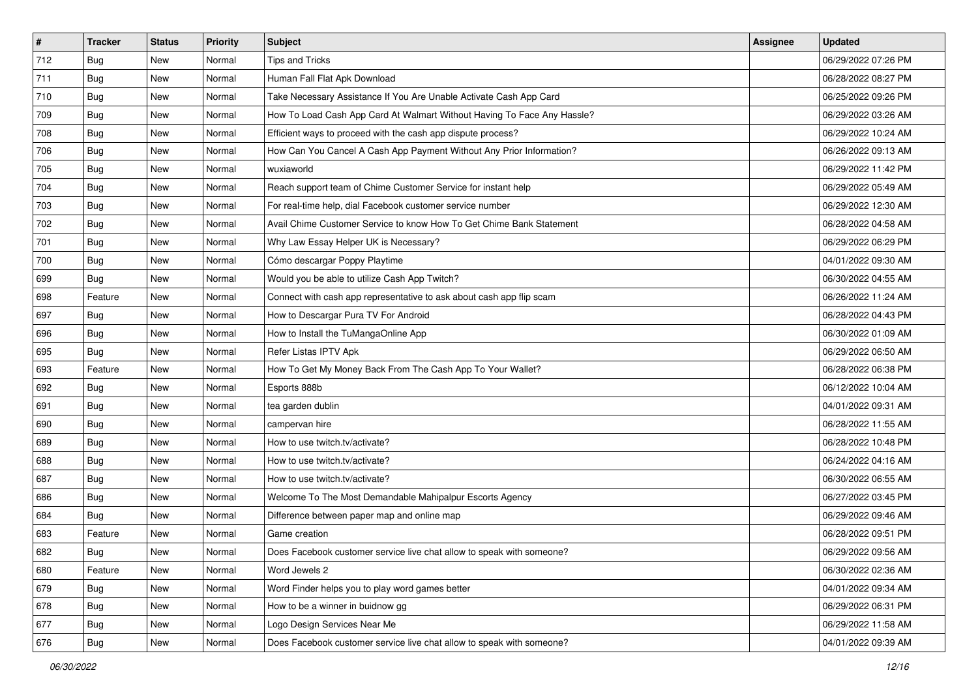| $\vert$ # | <b>Tracker</b> | <b>Status</b> | <b>Priority</b> | Subject                                                                 | Assignee | <b>Updated</b>      |
|-----------|----------------|---------------|-----------------|-------------------------------------------------------------------------|----------|---------------------|
| 712       | <b>Bug</b>     | New           | Normal          | <b>Tips and Tricks</b>                                                  |          | 06/29/2022 07:26 PM |
| 711       | <b>Bug</b>     | New           | Normal          | Human Fall Flat Apk Download                                            |          | 06/28/2022 08:27 PM |
| 710       | <b>Bug</b>     | New           | Normal          | Take Necessary Assistance If You Are Unable Activate Cash App Card      |          | 06/25/2022 09:26 PM |
| 709       | <b>Bug</b>     | <b>New</b>    | Normal          | How To Load Cash App Card At Walmart Without Having To Face Any Hassle? |          | 06/29/2022 03:26 AM |
| 708       | <b>Bug</b>     | New           | Normal          | Efficient ways to proceed with the cash app dispute process?            |          | 06/29/2022 10:24 AM |
| 706       | <b>Bug</b>     | New           | Normal          | How Can You Cancel A Cash App Payment Without Any Prior Information?    |          | 06/26/2022 09:13 AM |
| 705       | <b>Bug</b>     | New           | Normal          | wuxiaworld                                                              |          | 06/29/2022 11:42 PM |
| 704       | <b>Bug</b>     | New           | Normal          | Reach support team of Chime Customer Service for instant help           |          | 06/29/2022 05:49 AM |
| 703       | <b>Bug</b>     | New           | Normal          | For real-time help, dial Facebook customer service number               |          | 06/29/2022 12:30 AM |
| 702       | Bug            | New           | Normal          | Avail Chime Customer Service to know How To Get Chime Bank Statement    |          | 06/28/2022 04:58 AM |
| 701       | <b>Bug</b>     | New           | Normal          | Why Law Essay Helper UK is Necessary?                                   |          | 06/29/2022 06:29 PM |
| 700       | Bug            | New           | Normal          | Cómo descargar Poppy Playtime                                           |          | 04/01/2022 09:30 AM |
| 699       | Bug            | New           | Normal          | Would you be able to utilize Cash App Twitch?                           |          | 06/30/2022 04:55 AM |
| 698       | Feature        | New           | Normal          | Connect with cash app representative to ask about cash app flip scam    |          | 06/26/2022 11:24 AM |
| 697       | <b>Bug</b>     | New           | Normal          | How to Descargar Pura TV For Android                                    |          | 06/28/2022 04:43 PM |
| 696       | <b>Bug</b>     | New           | Normal          | How to Install the TuMangaOnline App                                    |          | 06/30/2022 01:09 AM |
| 695       | <b>Bug</b>     | New           | Normal          | Refer Listas IPTV Apk                                                   |          | 06/29/2022 06:50 AM |
| 693       | Feature        | New           | Normal          | How To Get My Money Back From The Cash App To Your Wallet?              |          | 06/28/2022 06:38 PM |
| 692       | Bug            | New           | Normal          | Esports 888b                                                            |          | 06/12/2022 10:04 AM |
| 691       | <b>Bug</b>     | New           | Normal          | tea garden dublin                                                       |          | 04/01/2022 09:31 AM |
| 690       | Bug            | New           | Normal          | campervan hire                                                          |          | 06/28/2022 11:55 AM |
| 689       | Bug            | New           | Normal          | How to use twitch.tv/activate?                                          |          | 06/28/2022 10:48 PM |
| 688       | <b>Bug</b>     | New           | Normal          | How to use twitch.tv/activate?                                          |          | 06/24/2022 04:16 AM |
| 687       | <b>Bug</b>     | New           | Normal          | How to use twitch.tv/activate?                                          |          | 06/30/2022 06:55 AM |
| 686       | Bug            | New           | Normal          | Welcome To The Most Demandable Mahipalpur Escorts Agency                |          | 06/27/2022 03:45 PM |
| 684       | Bug            | New           | Normal          | Difference between paper map and online map                             |          | 06/29/2022 09:46 AM |
| 683       | Feature        | New           | Normal          | Game creation                                                           |          | 06/28/2022 09:51 PM |
| 682       | Bug            | New           | Normal          | Does Facebook customer service live chat allow to speak with someone?   |          | 06/29/2022 09:56 AM |
| 680       | Feature        | New           | Normal          | Word Jewels 2                                                           |          | 06/30/2022 02:36 AM |
| 679       | <b>Bug</b>     | New           | Normal          | Word Finder helps you to play word games better                         |          | 04/01/2022 09:34 AM |
| 678       | <b>Bug</b>     | New           | Normal          | How to be a winner in buidnow gg                                        |          | 06/29/2022 06:31 PM |
| 677       | <b>Bug</b>     | New           | Normal          | Logo Design Services Near Me                                            |          | 06/29/2022 11:58 AM |
| 676       | <b>Bug</b>     | New           | Normal          | Does Facebook customer service live chat allow to speak with someone?   |          | 04/01/2022 09:39 AM |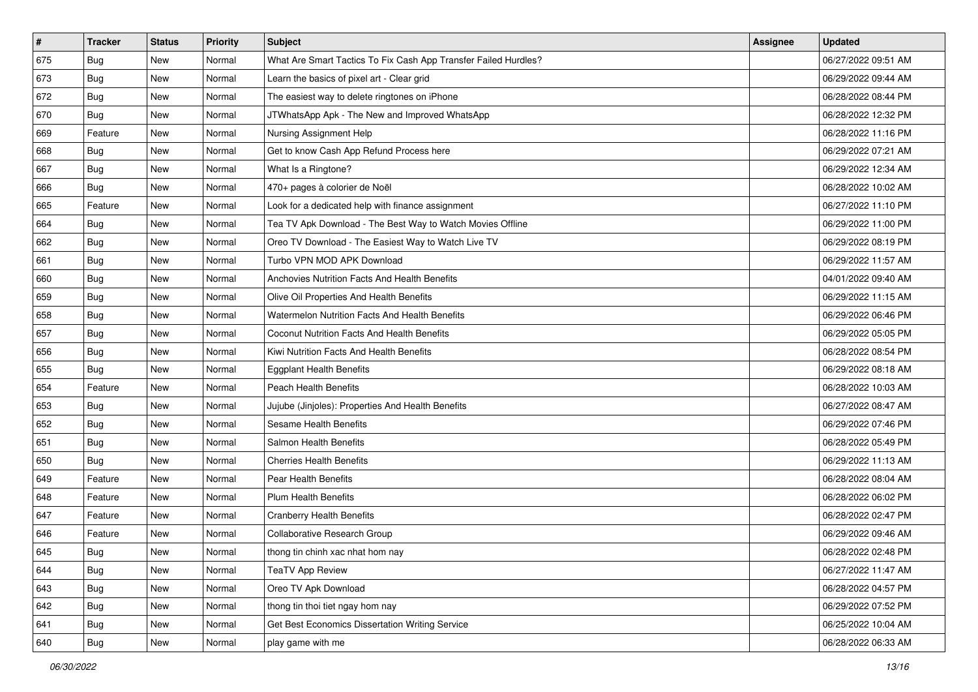| $\vert$ # | <b>Tracker</b> | <b>Status</b> | <b>Priority</b> | Subject                                                         | <b>Assignee</b> | <b>Updated</b>      |
|-----------|----------------|---------------|-----------------|-----------------------------------------------------------------|-----------------|---------------------|
| 675       | <b>Bug</b>     | New           | Normal          | What Are Smart Tactics To Fix Cash App Transfer Failed Hurdles? |                 | 06/27/2022 09:51 AM |
| 673       | Bug            | New           | Normal          | Learn the basics of pixel art - Clear grid                      |                 | 06/29/2022 09:44 AM |
| 672       | Bug            | New           | Normal          | The easiest way to delete ringtones on iPhone                   |                 | 06/28/2022 08:44 PM |
| 670       | <b>Bug</b>     | New           | Normal          | JTWhatsApp Apk - The New and Improved WhatsApp                  |                 | 06/28/2022 12:32 PM |
| 669       | Feature        | New           | Normal          | Nursing Assignment Help                                         |                 | 06/28/2022 11:16 PM |
| 668       | <b>Bug</b>     | New           | Normal          | Get to know Cash App Refund Process here                        |                 | 06/29/2022 07:21 AM |
| 667       | Bug            | New           | Normal          | What Is a Ringtone?                                             |                 | 06/29/2022 12:34 AM |
| 666       | <b>Bug</b>     | New           | Normal          | 470+ pages à colorier de Noël                                   |                 | 06/28/2022 10:02 AM |
| 665       | Feature        | New           | Normal          | Look for a dedicated help with finance assignment               |                 | 06/27/2022 11:10 PM |
| 664       | <b>Bug</b>     | New           | Normal          | Tea TV Apk Download - The Best Way to Watch Movies Offline      |                 | 06/29/2022 11:00 PM |
| 662       | <b>Bug</b>     | New           | Normal          | Oreo TV Download - The Easiest Way to Watch Live TV             |                 | 06/29/2022 08:19 PM |
| 661       | <b>Bug</b>     | New           | Normal          | Turbo VPN MOD APK Download                                      |                 | 06/29/2022 11:57 AM |
| 660       | Bug            | New           | Normal          | Anchovies Nutrition Facts And Health Benefits                   |                 | 04/01/2022 09:40 AM |
| 659       | Bug            | New           | Normal          | Olive Oil Properties And Health Benefits                        |                 | 06/29/2022 11:15 AM |
| 658       | <b>Bug</b>     | New           | Normal          | Watermelon Nutrition Facts And Health Benefits                  |                 | 06/29/2022 06:46 PM |
| 657       | Bug            | New           | Normal          | Coconut Nutrition Facts And Health Benefits                     |                 | 06/29/2022 05:05 PM |
| 656       | <b>Bug</b>     | New           | Normal          | Kiwi Nutrition Facts And Health Benefits                        |                 | 06/28/2022 08:54 PM |
| 655       | Bug            | New           | Normal          | <b>Eggplant Health Benefits</b>                                 |                 | 06/29/2022 08:18 AM |
| 654       | Feature        | New           | Normal          | Peach Health Benefits                                           |                 | 06/28/2022 10:03 AM |
| 653       | Bug            | New           | Normal          | Jujube (Jinjoles): Properties And Health Benefits               |                 | 06/27/2022 08:47 AM |
| 652       | <b>Bug</b>     | New           | Normal          | Sesame Health Benefits                                          |                 | 06/29/2022 07:46 PM |
| 651       | Bug            | New           | Normal          | Salmon Health Benefits                                          |                 | 06/28/2022 05:49 PM |
| 650       | Bug            | New           | Normal          | <b>Cherries Health Benefits</b>                                 |                 | 06/29/2022 11:13 AM |
| 649       | Feature        | New           | Normal          | Pear Health Benefits                                            |                 | 06/28/2022 08:04 AM |
| 648       | Feature        | New           | Normal          | <b>Plum Health Benefits</b>                                     |                 | 06/28/2022 06:02 PM |
| 647       | Feature        | New           | Normal          | <b>Cranberry Health Benefits</b>                                |                 | 06/28/2022 02:47 PM |
| 646       | Feature        | New           | Normal          | Collaborative Research Group                                    |                 | 06/29/2022 09:46 AM |
| 645       | i Bug          | New           | Normal          | thong tin chinh xac nhat hom nay                                |                 | 06/28/2022 02:48 PM |
| 644       | Bug            | New           | Normal          | <b>TeaTV App Review</b>                                         |                 | 06/27/2022 11:47 AM |
| 643       | <b>Bug</b>     | New           | Normal          | Oreo TV Apk Download                                            |                 | 06/28/2022 04:57 PM |
| 642       | Bug            | New           | Normal          | thong tin thoi tiet ngay hom nay                                |                 | 06/29/2022 07:52 PM |
| 641       | <b>Bug</b>     | New           | Normal          | Get Best Economics Dissertation Writing Service                 |                 | 06/25/2022 10:04 AM |
| 640       | <b>Bug</b>     | New           | Normal          | play game with me                                               |                 | 06/28/2022 06:33 AM |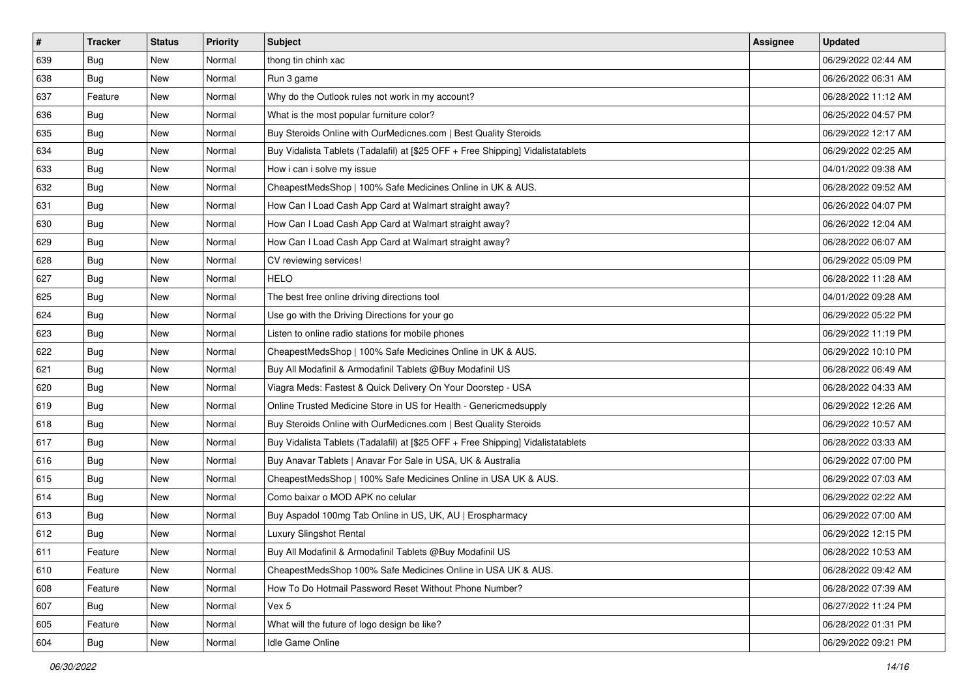| $\sharp$ | <b>Tracker</b> | <b>Status</b> | <b>Priority</b> | Subject                                                                          | Assignee | <b>Updated</b>      |
|----------|----------------|---------------|-----------------|----------------------------------------------------------------------------------|----------|---------------------|
| 639      | Bug            | New           | Normal          | thong tin chinh xac                                                              |          | 06/29/2022 02:44 AM |
| 638      | <b>Bug</b>     | New           | Normal          | Run 3 game                                                                       |          | 06/26/2022 06:31 AM |
| 637      | Feature        | New           | Normal          | Why do the Outlook rules not work in my account?                                 |          | 06/28/2022 11:12 AM |
| 636      | Bug            | New           | Normal          | What is the most popular furniture color?                                        |          | 06/25/2022 04:57 PM |
| 635      | Bug            | New           | Normal          | Buy Steroids Online with OurMedicnes.com   Best Quality Steroids                 |          | 06/29/2022 12:17 AM |
| 634      | <b>Bug</b>     | New           | Normal          | Buy Vidalista Tablets (Tadalafil) at [\$25 OFF + Free Shipping] Vidalistatablets |          | 06/29/2022 02:25 AM |
| 633      | Bug            | New           | Normal          | How i can i solve my issue                                                       |          | 04/01/2022 09:38 AM |
| 632      | <b>Bug</b>     | New           | Normal          | CheapestMedsShop   100% Safe Medicines Online in UK & AUS.                       |          | 06/28/2022 09:52 AM |
| 631      | <b>Bug</b>     | New           | Normal          | How Can I Load Cash App Card at Walmart straight away?                           |          | 06/26/2022 04:07 PM |
| 630      | Bug            | New           | Normal          | How Can I Load Cash App Card at Walmart straight away?                           |          | 06/26/2022 12:04 AM |
| 629      | <b>Bug</b>     | New           | Normal          | How Can I Load Cash App Card at Walmart straight away?                           |          | 06/28/2022 06:07 AM |
| 628      | Bug            | New           | Normal          | CV reviewing services!                                                           |          | 06/29/2022 05:09 PM |
| 627      | Bug            | New           | Normal          | HELO                                                                             |          | 06/28/2022 11:28 AM |
| 625      | <b>Bug</b>     | New           | Normal          | The best free online driving directions tool                                     |          | 04/01/2022 09:28 AM |
| 624      | <b>Bug</b>     | New           | Normal          | Use go with the Driving Directions for your go                                   |          | 06/29/2022 05:22 PM |
| 623      | Bug            | New           | Normal          | Listen to online radio stations for mobile phones                                |          | 06/29/2022 11:19 PM |
| 622      | Bug            | New           | Normal          | CheapestMedsShop   100% Safe Medicines Online in UK & AUS.                       |          | 06/29/2022 10:10 PM |
| 621      | Bug            | New           | Normal          | Buy All Modafinil & Armodafinil Tablets @Buy Modafinil US                        |          | 06/28/2022 06:49 AM |
| 620      | Bug            | New           | Normal          | Viagra Meds: Fastest & Quick Delivery On Your Doorstep - USA                     |          | 06/28/2022 04:33 AM |
| 619      | <b>Bug</b>     | New           | Normal          | Online Trusted Medicine Store in US for Health - Genericmedsupply                |          | 06/29/2022 12:26 AM |
| 618      | Bug            | New           | Normal          | Buy Steroids Online with OurMedicnes.com   Best Quality Steroids                 |          | 06/29/2022 10:57 AM |
| 617      | Bug            | New           | Normal          | Buy Vidalista Tablets (Tadalafil) at [\$25 OFF + Free Shipping] Vidalistatablets |          | 06/28/2022 03:33 AM |
| 616      | Bug            | New           | Normal          | Buy Anavar Tablets   Anavar For Sale in USA, UK & Australia                      |          | 06/29/2022 07:00 PM |
| 615      | <b>Bug</b>     | New           | Normal          | CheapestMedsShop   100% Safe Medicines Online in USA UK & AUS.                   |          | 06/29/2022 07:03 AM |
| 614      | Bug            | New           | Normal          | Como baixar o MOD APK no celular                                                 |          | 06/29/2022 02:22 AM |
| 613      | Bug            | New           | Normal          | Buy Aspadol 100mg Tab Online in US, UK, AU   Erospharmacy                        |          | 06/29/2022 07:00 AM |
| 612      | Bug            | New           | Normal          | Luxury Slingshot Rental                                                          |          | 06/29/2022 12:15 PM |
| 611      | Feature        | New           | Normal          | Buy All Modafinil & Armodafinil Tablets @Buy Modafinil US                        |          | 06/28/2022 10:53 AM |
| 610      | Feature        | New           | Normal          | CheapestMedsShop 100% Safe Medicines Online in USA UK & AUS.                     |          | 06/28/2022 09:42 AM |
| 608      | Feature        | New           | Normal          | How To Do Hotmail Password Reset Without Phone Number?                           |          | 06/28/2022 07:39 AM |
| 607      | <b>Bug</b>     | New           | Normal          | Vex 5                                                                            |          | 06/27/2022 11:24 PM |
| 605      | Feature        | New           | Normal          | What will the future of logo design be like?                                     |          | 06/28/2022 01:31 PM |
| 604      | <b>Bug</b>     | New           | Normal          | Idle Game Online                                                                 |          | 06/29/2022 09:21 PM |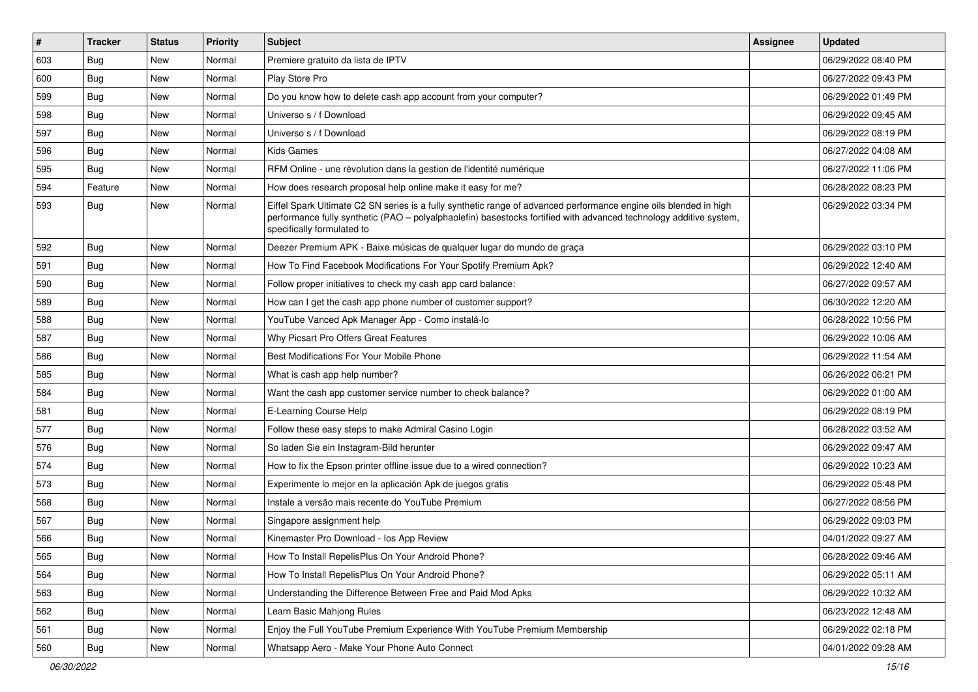| #   | <b>Tracker</b> | <b>Status</b> | <b>Priority</b> | Subject                                                                                                                                                                                                                                                               | Assignee | <b>Updated</b>      |
|-----|----------------|---------------|-----------------|-----------------------------------------------------------------------------------------------------------------------------------------------------------------------------------------------------------------------------------------------------------------------|----------|---------------------|
| 603 | <b>Bug</b>     | New           | Normal          | Premiere gratuito da lista de IPTV                                                                                                                                                                                                                                    |          | 06/29/2022 08:40 PM |
| 600 | Bug            | New           | Normal          | Play Store Pro                                                                                                                                                                                                                                                        |          | 06/27/2022 09:43 PM |
| 599 | Bug            | New           | Normal          | Do you know how to delete cash app account from your computer?                                                                                                                                                                                                        |          | 06/29/2022 01:49 PM |
| 598 | Bug            | New           | Normal          | Universo s / f Download                                                                                                                                                                                                                                               |          | 06/29/2022 09:45 AM |
| 597 | Bug            | <b>New</b>    | Normal          | Universo s / f Download                                                                                                                                                                                                                                               |          | 06/29/2022 08:19 PM |
| 596 | Bug            | New           | Normal          | <b>Kids Games</b>                                                                                                                                                                                                                                                     |          | 06/27/2022 04:08 AM |
| 595 | Bug            | New           | Normal          | RFM Online - une révolution dans la gestion de l'identité numérique                                                                                                                                                                                                   |          | 06/27/2022 11:06 PM |
| 594 | Feature        | New           | Normal          | How does research proposal help online make it easy for me?                                                                                                                                                                                                           |          | 06/28/2022 08:23 PM |
| 593 | Bug            | New           | Normal          | Eiffel Spark Ultimate C2 SN series is a fully synthetic range of advanced performance engine oils blended in high<br>performance fully synthetic (PAO - polyalphaolefin) basestocks fortified with advanced technology additive system,<br>specifically formulated to |          | 06/29/2022 03:34 PM |
| 592 | Bug            | New           | Normal          | Deezer Premium APK - Baixe músicas de qualquer lugar do mundo de graça                                                                                                                                                                                                |          | 06/29/2022 03:10 PM |
| 591 | Bug            | <b>New</b>    | Normal          | How To Find Facebook Modifications For Your Spotify Premium Apk?                                                                                                                                                                                                      |          | 06/29/2022 12:40 AM |
| 590 | <b>Bug</b>     | New           | Normal          | Follow proper initiatives to check my cash app card balance:                                                                                                                                                                                                          |          | 06/27/2022 09:57 AM |
| 589 | Bug            | New           | Normal          | How can I get the cash app phone number of customer support?                                                                                                                                                                                                          |          | 06/30/2022 12:20 AM |
| 588 | Bug            | New           | Normal          | YouTube Vanced Apk Manager App - Como instalá-lo                                                                                                                                                                                                                      |          | 06/28/2022 10:56 PM |
| 587 | Bug            | New           | Normal          | Why Picsart Pro Offers Great Features                                                                                                                                                                                                                                 |          | 06/29/2022 10:06 AM |
| 586 | Bug            | <b>New</b>    | Normal          | Best Modifications For Your Mobile Phone                                                                                                                                                                                                                              |          | 06/29/2022 11:54 AM |
| 585 | Bug            | New           | Normal          | What is cash app help number?                                                                                                                                                                                                                                         |          | 06/26/2022 06:21 PM |
| 584 | Bug            | New           | Normal          | Want the cash app customer service number to check balance?                                                                                                                                                                                                           |          | 06/29/2022 01:00 AM |
| 581 | Bug            | New           | Normal          | E-Learning Course Help                                                                                                                                                                                                                                                |          | 06/29/2022 08:19 PM |
| 577 | Bug            | New           | Normal          | Follow these easy steps to make Admiral Casino Login                                                                                                                                                                                                                  |          | 06/28/2022 03:52 AM |
| 576 | Bug            | <b>New</b>    | Normal          | So laden Sie ein Instagram-Bild herunter                                                                                                                                                                                                                              |          | 06/29/2022 09:47 AM |
| 574 | Bug            | New           | Normal          | How to fix the Epson printer offline issue due to a wired connection?                                                                                                                                                                                                 |          | 06/29/2022 10:23 AM |
| 573 | Bug            | New           | Normal          | Experimente lo mejor en la aplicación Apk de juegos gratis                                                                                                                                                                                                            |          | 06/29/2022 05:48 PM |
| 568 | Bug            | <b>New</b>    | Normal          | Instale a versão mais recente do YouTube Premium                                                                                                                                                                                                                      |          | 06/27/2022 08:56 PM |
| 567 | <b>Bug</b>     | New           | Normal          | Singapore assignment help                                                                                                                                                                                                                                             |          | 06/29/2022 09:03 PM |
| 566 | Bug            | New           | Normal          | Kinemaster Pro Download - los App Review                                                                                                                                                                                                                              |          | 04/01/2022 09:27 AM |
| 565 | Bug            | New           | Normal          | How To Install RepelisPlus On Your Android Phone?                                                                                                                                                                                                                     |          | 06/28/2022 09:46 AM |
| 564 | <b>Bug</b>     | New           | Normal          | How To Install RepelisPlus On Your Android Phone?                                                                                                                                                                                                                     |          | 06/29/2022 05:11 AM |
| 563 | <b>Bug</b>     | New           | Normal          | Understanding the Difference Between Free and Paid Mod Apks                                                                                                                                                                                                           |          | 06/29/2022 10:32 AM |
| 562 | <b>Bug</b>     | New           | Normal          | Learn Basic Mahjong Rules                                                                                                                                                                                                                                             |          | 06/23/2022 12:48 AM |
| 561 | <b>Bug</b>     | New           | Normal          | Enjoy the Full YouTube Premium Experience With YouTube Premium Membership                                                                                                                                                                                             |          | 06/29/2022 02:18 PM |
| 560 | Bug            | New           | Normal          | Whatsapp Aero - Make Your Phone Auto Connect                                                                                                                                                                                                                          |          | 04/01/2022 09:28 AM |